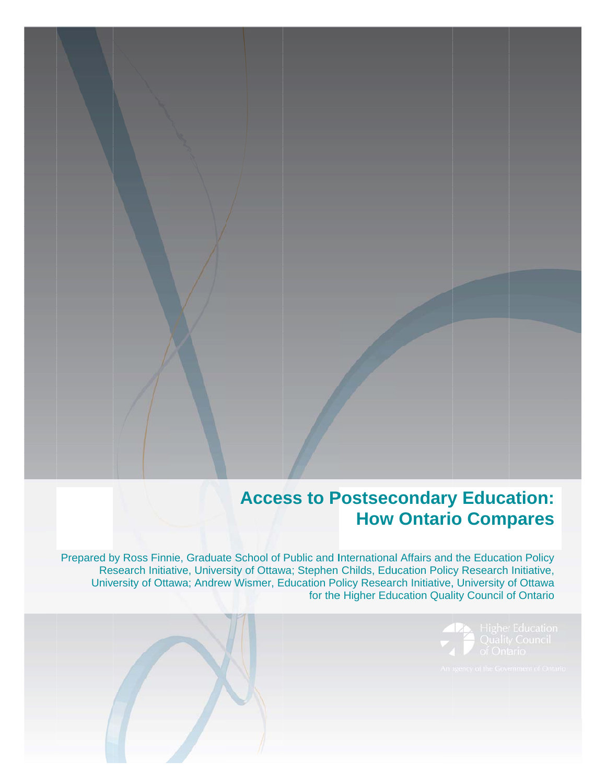## **Access to Postsecondary Education: How Ontario Compares**

Prepared by Ross Finnie, Graduate School of Public and International Affairs and the Education Policy Research Initiative, University of Ottawa; Stephen Childs, Education Policy Research Initiative, University of Ottawa; Andrew Wismer, Education Policy Research Initiative, University of Ottawa for the Higher Education Quality Council of Ontario

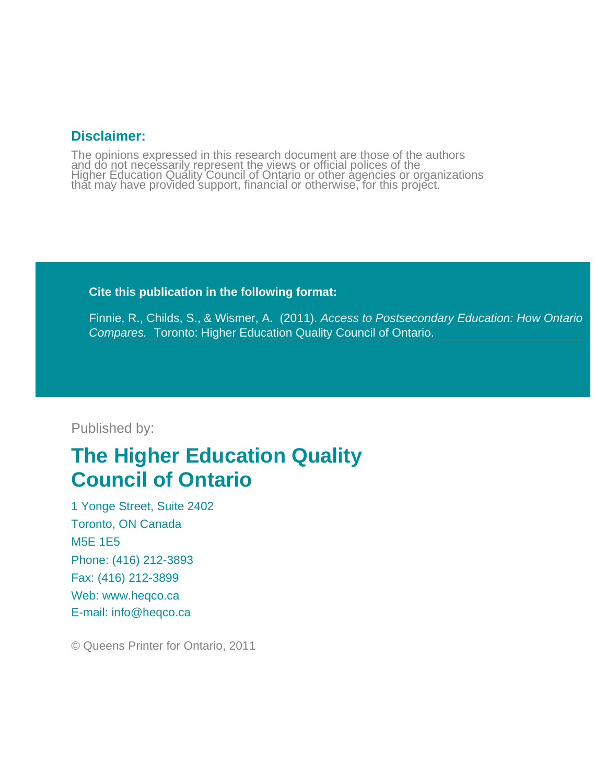## **Disclaimer:**

The opinions expressed in this research document are those of the authors and do not necessarily represent the views or official polices of the<br>Higher Education Quality Council of Ontario or other agencies or organizations<br>that may have provided support, financial or otherwise, for this project.

### **Cite this publication in the following format:**

Finnie, R., Childs, S., & Wismer, A. (2011). *Access to Postsecondary Education: How Ontario Compares.* Toronto: Higher Education Quality Council of Ontario.

## Published by:

# **The Higher Education Quality Council of Ontario**

1 Yonge Street, Suite 2402 Toronto, ON Canada M5E 1E5 Phone: (416) 212-3893 Fax: (416) 212-3899 Web: www.heqco.ca E-mail: info@heqco.ca

© Queens Printer for Ontario, 2011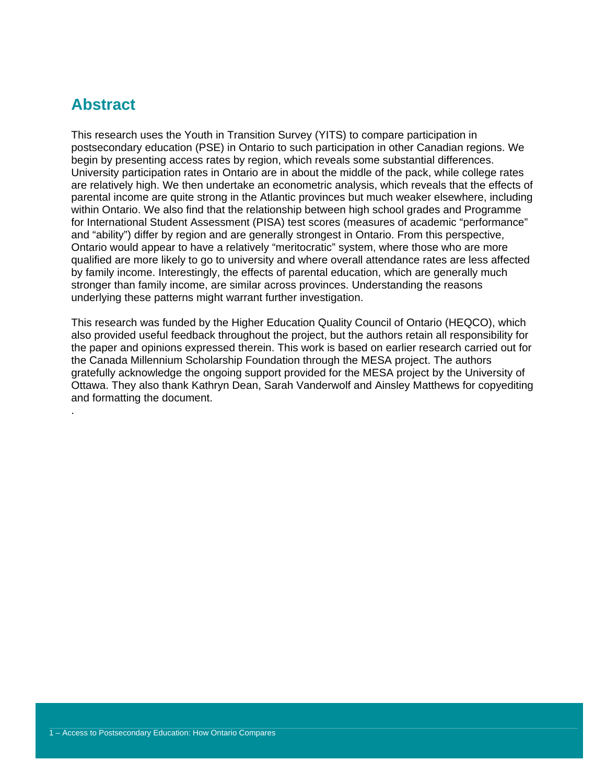## **Abstract**

.

This research uses the Youth in Transition Survey (YITS) to compare participation in postsecondary education (PSE) in Ontario to such participation in other Canadian regions. We begin by presenting access rates by region, which reveals some substantial differences. University participation rates in Ontario are in about the middle of the pack, while college rates are relatively high. We then undertake an econometric analysis, which reveals that the effects of parental income are quite strong in the Atlantic provinces but much weaker elsewhere, including within Ontario. We also find that the relationship between high school grades and Programme for International Student Assessment (PISA) test scores (measures of academic "performance" and "ability") differ by region and are generally strongest in Ontario. From this perspective, Ontario would appear to have a relatively "meritocratic" system, where those who are more qualified are more likely to go to university and where overall attendance rates are less affected by family income. Interestingly, the effects of parental education, which are generally much stronger than family income, are similar across provinces. Understanding the reasons underlying these patterns might warrant further investigation.

This research was funded by the Higher Education Quality Council of Ontario (HEQCO), which also provided useful feedback throughout the project, but the authors retain all responsibility for the paper and opinions expressed therein. This work is based on earlier research carried out for the Canada Millennium Scholarship Foundation through the MESA project. The authors gratefully acknowledge the ongoing support provided for the MESA project by the University of Ottawa. They also thank Kathryn Dean, Sarah Vanderwolf and Ainsley Matthews for copyediting and formatting the document.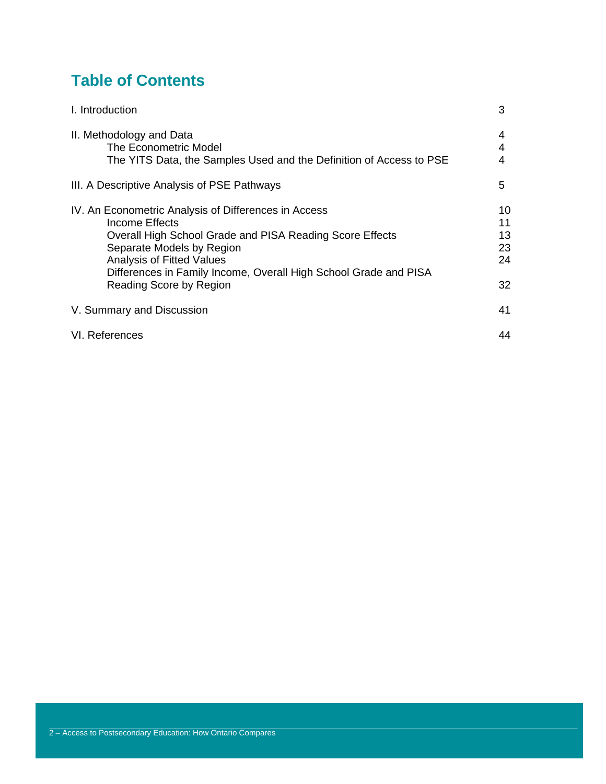## **Table of Contents**

| I. Introduction                                                                                                                                                                                                                                                                                    | 3                                |
|----------------------------------------------------------------------------------------------------------------------------------------------------------------------------------------------------------------------------------------------------------------------------------------------------|----------------------------------|
| II. Methodology and Data<br>The Econometric Model<br>The YITS Data, the Samples Used and the Definition of Access to PSE                                                                                                                                                                           | 4<br>4<br>4                      |
| III. A Descriptive Analysis of PSE Pathways                                                                                                                                                                                                                                                        | 5                                |
| IV. An Econometric Analysis of Differences in Access<br>Income Effects<br>Overall High School Grade and PISA Reading Score Effects<br>Separate Models by Region<br><b>Analysis of Fitted Values</b><br>Differences in Family Income, Overall High School Grade and PISA<br>Reading Score by Region | 10<br>11<br>13<br>23<br>24<br>32 |
| V. Summary and Discussion                                                                                                                                                                                                                                                                          | 41                               |
| VI. References                                                                                                                                                                                                                                                                                     | 44                               |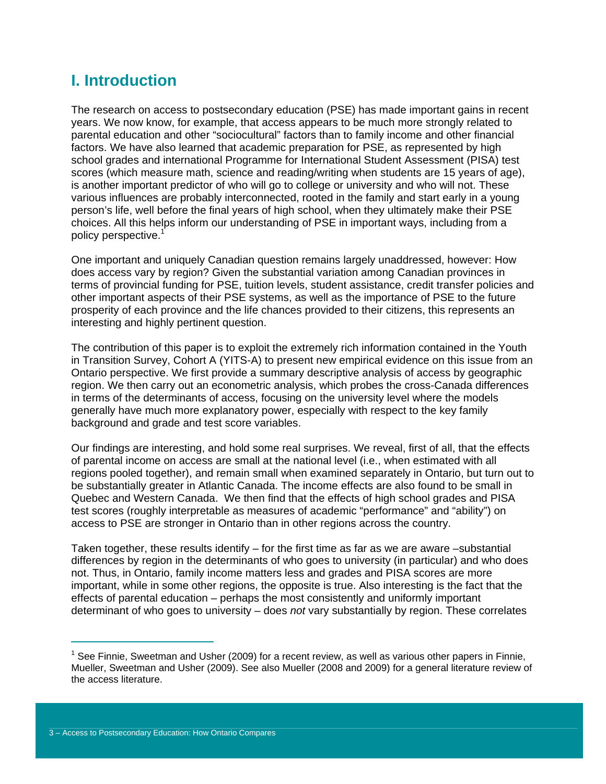## **I. Introduction**

The research on access to postsecondary education (PSE) has made important gains in recent years. We now know, for example, that access appears to be much more strongly related to parental education and other "sociocultural" factors than to family income and other financial factors. We have also learned that academic preparation for PSE, as represented by high school grades and international Programme for International Student Assessment (PISA) test scores (which measure math, science and reading/writing when students are 15 years of age), is another important predictor of who will go to college or university and who will not. These various influences are probably interconnected, rooted in the family and start early in a young person's life, well before the final years of high school, when they ultimately make their PSE choices. All this helps inform our understanding of PSE in important ways, including from a policy perspective.<sup>1</sup>

One important and uniquely Canadian question remains largely unaddressed, however: How does access vary by region? Given the substantial variation among Canadian provinces in terms of provincial funding for PSE, tuition levels, student assistance, credit transfer policies and other important aspects of their PSE systems, as well as the importance of PSE to the future prosperity of each province and the life chances provided to their citizens, this represents an interesting and highly pertinent question.

The contribution of this paper is to exploit the extremely rich information contained in the Youth in Transition Survey, Cohort A (YITS-A) to present new empirical evidence on this issue from an Ontario perspective. We first provide a summary descriptive analysis of access by geographic region. We then carry out an econometric analysis, which probes the cross-Canada differences in terms of the determinants of access, focusing on the university level where the models generally have much more explanatory power, especially with respect to the key family background and grade and test score variables.

Our findings are interesting, and hold some real surprises. We reveal, first of all, that the effects of parental income on access are small at the national level (i.e., when estimated with all regions pooled together), and remain small when examined separately in Ontario, but turn out to be substantially greater in Atlantic Canada. The income effects are also found to be small in Quebec and Western Canada. We then find that the effects of high school grades and PISA test scores (roughly interpretable as measures of academic "performance" and "ability") on access to PSE are stronger in Ontario than in other regions across the country.

Taken together, these results identify – for the first time as far as we are aware –substantial differences by region in the determinants of who goes to university (in particular) and who does not. Thus, in Ontario, family income matters less and grades and PISA scores are more important, while in some other regions, the opposite is true. Also interesting is the fact that the effects of parental education – perhaps the most consistently and uniformly important determinant of who goes to university – does *not* vary substantially by region. These correlates

 $1$  See Finnie, Sweetman and Usher (2009) for a recent review, as well as various other papers in Finnie, Mueller, Sweetman and Usher (2009). See also Mueller (2008 and 2009) for a general literature review of the access literature.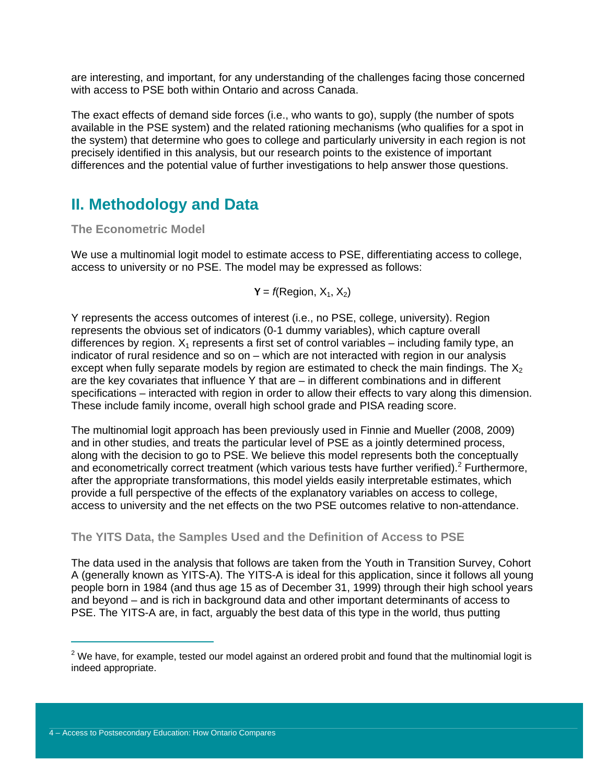are interesting, and important, for any understanding of the challenges facing those concerned with access to PSE both within Ontario and across Canada.

The exact effects of demand side forces (i.e., who wants to go), supply (the number of spots available in the PSE system) and the related rationing mechanisms (who qualifies for a spot in the system) that determine who goes to college and particularly university in each region is not precisely identified in this analysis, but our research points to the existence of important differences and the potential value of further investigations to help answer those questions.

## **II. Methodology and Data**

**The Econometric Model** 

We use a multinomial logit model to estimate access to PSE, differentiating access to college, access to university or no PSE. The model may be expressed as follows:

$$
Y = f(\text{Region}, X_1, X_2)
$$

Y represents the access outcomes of interest (i.e., no PSE, college, university). Region represents the obvious set of indicators (0-1 dummy variables), which capture overall differences by region.  $X_1$  represents a first set of control variables – including family type, an indicator of rural residence and so on – which are not interacted with region in our analysis except when fully separate models by region are estimated to check the main findings. The  $X_2$ are the key covariates that influence Y that are  $-$  in different combinations and in different specifications – interacted with region in order to allow their effects to vary along this dimension. These include family income, overall high school grade and PISA reading score.

The multinomial logit approach has been previously used in Finnie and Mueller (2008, 2009) and in other studies, and treats the particular level of PSE as a jointly determined process, along with the decision to go to PSE. We believe this model represents both the conceptually and econometrically correct treatment (which various tests have further verified). $2$  Furthermore, after the appropriate transformations, this model yields easily interpretable estimates, which provide a full perspective of the effects of the explanatory variables on access to college, access to university and the net effects on the two PSE outcomes relative to non-attendance.

## **The YITS Data, the Samples Used and the Definition of Access to PSE**

The data used in the analysis that follows are taken from the Youth in Transition Survey, Cohort A (generally known as YITS-A). The YITS-A is ideal for this application, since it follows all young people born in 1984 (and thus age 15 as of December 31, 1999) through their high school years and beyond – and is rich in background data and other important determinants of access to PSE. The YITS-A are, in fact, arguably the best data of this type in the world, thus putting

 $^{2}$  We have, for example, tested our model against an ordered probit and found that the multinomial logit is indeed appropriate.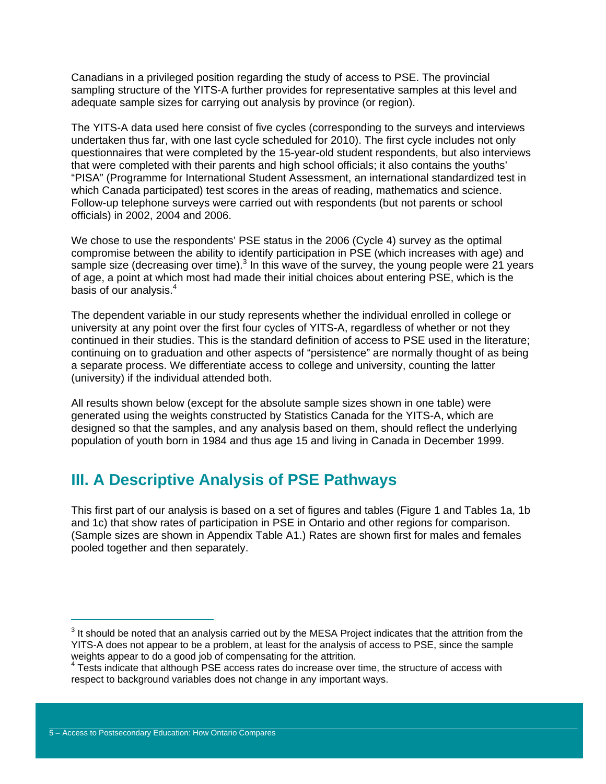Canadians in a privileged position regarding the study of access to PSE. The provincial sampling structure of the YITS-A further provides for representative samples at this level and adequate sample sizes for carrying out analysis by province (or region).

The YITS-A data used here consist of five cycles (corresponding to the surveys and interviews undertaken thus far, with one last cycle scheduled for 2010). The first cycle includes not only questionnaires that were completed by the 15-year-old student respondents, but also interviews that were completed with their parents and high school officials; it also contains the youths' "PISA" (Programme for International Student Assessment, an international standardized test in which Canada participated) test scores in the areas of reading, mathematics and science. Follow-up telephone surveys were carried out with respondents (but not parents or school officials) in 2002, 2004 and 2006.

We chose to use the respondents' PSE status in the 2006 (Cycle 4) survey as the optimal compromise between the ability to identify participation in PSE (which increases with age) and sample size (decreasing over time). $3$  In this wave of the survey, the young people were 21 years of age, a point at which most had made their initial choices about entering PSE, which is the basis of our analysis.<sup>4</sup>

The dependent variable in our study represents whether the individual enrolled in college or university at any point over the first four cycles of YITS-A, regardless of whether or not they continued in their studies. This is the standard definition of access to PSE used in the literature; continuing on to graduation and other aspects of "persistence" are normally thought of as being a separate process. We differentiate access to college and university, counting the latter (university) if the individual attended both.

All results shown below (except for the absolute sample sizes shown in one table) were generated using the weights constructed by Statistics Canada for the YITS-A, which are designed so that the samples, and any analysis based on them, should reflect the underlying population of youth born in 1984 and thus age 15 and living in Canada in December 1999.

## **III. A Descriptive Analysis of PSE Pathways**

This first part of our analysis is based on a set of figures and tables (Figure 1 and Tables 1a, 1b and 1c) that show rates of participation in PSE in Ontario and other regions for comparison. (Sample sizes are shown in Appendix Table A1.) Rates are shown first for males and females pooled together and then separately.

 $3$  It should be noted that an analysis carried out by the MESA Project indicates that the attrition from the YITS-A does not appear to be a problem, at least for the analysis of access to PSE, since the sample weights appear to do a good job of compensating for the attrition.

<sup>&</sup>lt;sup>4</sup> Tests indicate that although PSE access rates do increase over time, the structure of access with respect to background variables does not change in any important ways.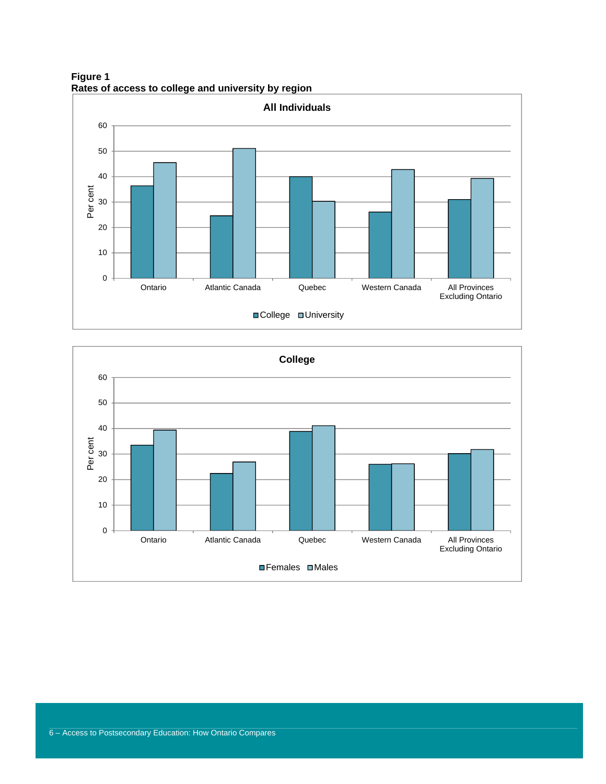**Figure 1 Rates of access to college and university by region** 



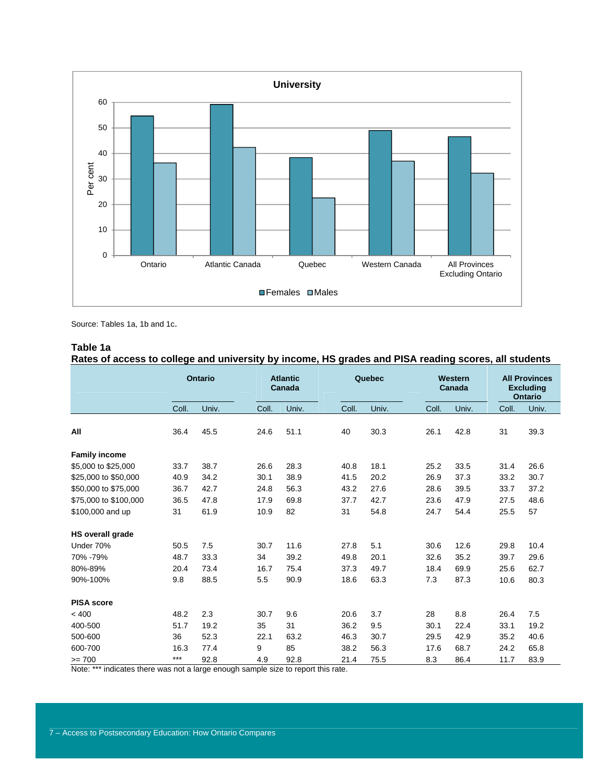

Source: Tables 1a, 1b and 1c.

#### **Table 1a**

**Rates of access to college and university by income, HS grades and PISA reading scores, all students** 

|                         |       | <b>Ontario</b> | <b>Atlantic</b><br>Canada |       | Quebec |       | Western<br>Canada |       |       | <b>All Provinces</b><br><b>Excluding</b><br><b>Ontario</b> |
|-------------------------|-------|----------------|---------------------------|-------|--------|-------|-------------------|-------|-------|------------------------------------------------------------|
|                         | Coll. | Univ.          | Coll.                     | Univ. | Coll.  | Univ. | Coll.             | Univ. | Coll. | Univ.                                                      |
| All                     | 36.4  | 45.5           | 24.6                      | 51.1  | 40     | 30.3  | 26.1              | 42.8  | 31    | 39.3                                                       |
| <b>Family income</b>    |       |                |                           |       |        |       |                   |       |       |                                                            |
| \$5,000 to \$25,000     | 33.7  | 38.7           | 26.6                      | 28.3  | 40.8   | 18.1  | 25.2              | 33.5  | 31.4  | 26.6                                                       |
| \$25,000 to \$50,000    | 40.9  | 34.2           | 30.1                      | 38.9  | 41.5   | 20.2  | 26.9              | 37.3  | 33.2  | 30.7                                                       |
| \$50,000 to \$75,000    | 36.7  | 42.7           | 24.8                      | 56.3  | 43.2   | 27.6  | 28.6              | 39.5  | 33.7  | 37.2                                                       |
| \$75,000 to \$100,000   | 36.5  | 47.8           | 17.9                      | 69.8  | 37.7   | 42.7  | 23.6              | 47.9  | 27.5  | 48.6                                                       |
| \$100,000 and up        | 31    | 61.9           | 10.9                      | 82    | 31     | 54.8  | 24.7              | 54.4  | 25.5  | 57                                                         |
| <b>HS overall grade</b> |       |                |                           |       |        |       |                   |       |       |                                                            |
| Under 70%               | 50.5  | 7.5            | 30.7                      | 11.6  | 27.8   | 5.1   | 30.6              | 12.6  | 29.8  | 10.4                                                       |
| 70% -79%                | 48.7  | 33.3           | 34                        | 39.2  | 49.8   | 20.1  | 32.6              | 35.2  | 39.7  | 29.6                                                       |
| 80%-89%                 | 20.4  | 73.4           | 16.7                      | 75.4  | 37.3   | 49.7  | 18.4              | 69.9  | 25.6  | 62.7                                                       |
| 90%-100%                | 9.8   | 88.5           | 5.5                       | 90.9  | 18.6   | 63.3  | 7.3               | 87.3  | 10.6  | 80.3                                                       |
| <b>PISA score</b>       |       |                |                           |       |        |       |                   |       |       |                                                            |
| < 400                   | 48.2  | 2.3            | 30.7                      | 9.6   | 20.6   | 3.7   | 28                | 8.8   | 26.4  | 7.5                                                        |
| 400-500                 | 51.7  | 19.2           | 35                        | 31    | 36.2   | 9.5   | 30.1              | 22.4  | 33.1  | 19.2                                                       |
| 500-600                 | 36    | 52.3           | 22.1                      | 63.2  | 46.3   | 30.7  | 29.5              | 42.9  | 35.2  | 40.6                                                       |
| 600-700                 | 16.3  | 77.4           | 9                         | 85    | 38.2   | 56.3  | 17.6              | 68.7  | 24.2  | 65.8                                                       |
| $>= 700$                | $***$ | 92.8           | 4.9                       | 92.8  | 21.4   | 75.5  | 8.3               | 86.4  | 11.7  | 83.9                                                       |

Note: \*\*\* indicates there was not a large enough sample size to report this rate.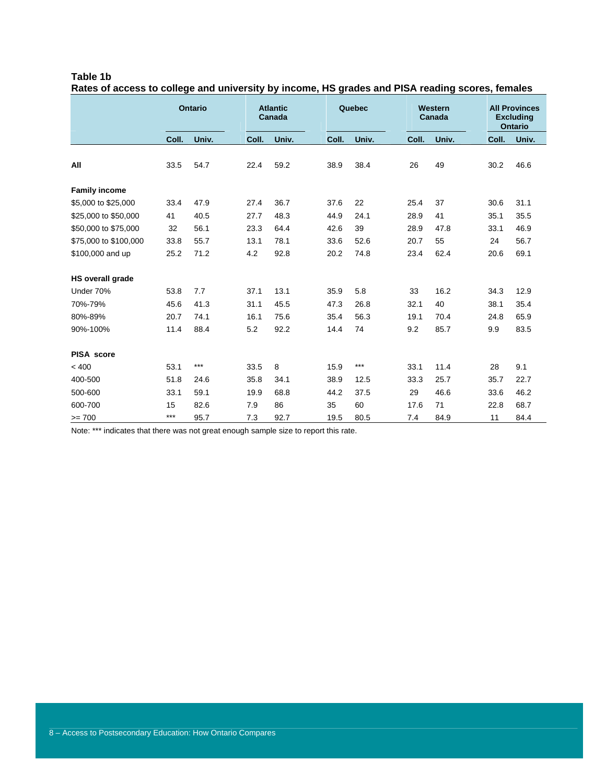| Table 1b                                                                                        |  |  |  |
|-------------------------------------------------------------------------------------------------|--|--|--|
| Rates of access to college and university by income, HS grades and PISA reading scores, females |  |  |  |

|                         |       | <b>Ontario</b> |       | <b>Atlantic</b><br>Canada | Quebec |       | Western<br>Canada |       | <b>All Provinces</b><br><b>Excluding</b><br><b>Ontario</b> |       |
|-------------------------|-------|----------------|-------|---------------------------|--------|-------|-------------------|-------|------------------------------------------------------------|-------|
|                         | Coll. | Univ.          | Coll. | Univ.                     | Coll.  | Univ. | Coll.             | Univ. | Coll.                                                      | Univ. |
| All                     | 33.5  | 54.7           | 22.4  | 59.2                      | 38.9   | 38.4  | 26                | 49    | 30.2                                                       | 46.6  |
| <b>Family income</b>    |       |                |       |                           |        |       |                   |       |                                                            |       |
| \$5,000 to \$25,000     | 33.4  | 47.9           | 27.4  | 36.7                      | 37.6   | 22    | 25.4              | 37    | 30.6                                                       | 31.1  |
| \$25,000 to \$50,000    | 41    | 40.5           | 27.7  | 48.3                      | 44.9   | 24.1  | 28.9              | 41    | 35.1                                                       | 35.5  |
| \$50,000 to \$75,000    | 32    | 56.1           | 23.3  | 64.4                      | 42.6   | 39    | 28.9              | 47.8  | 33.1                                                       | 46.9  |
| \$75,000 to \$100,000   | 33.8  | 55.7           | 13.1  | 78.1                      | 33.6   | 52.6  | 20.7              | 55    | 24                                                         | 56.7  |
| \$100,000 and up        | 25.2  | 71.2           | 4.2   | 92.8                      | 20.2   | 74.8  | 23.4              | 62.4  | 20.6                                                       | 69.1  |
| <b>HS overall grade</b> |       |                |       |                           |        |       |                   |       |                                                            |       |
| Under 70%               | 53.8  | 7.7            | 37.1  | 13.1                      | 35.9   | 5.8   | 33                | 16.2  | 34.3                                                       | 12.9  |
| 70%-79%                 | 45.6  | 41.3           | 31.1  | 45.5                      | 47.3   | 26.8  | 32.1              | 40    | 38.1                                                       | 35.4  |
| 80%-89%                 | 20.7  | 74.1           | 16.1  | 75.6                      | 35.4   | 56.3  | 19.1              | 70.4  | 24.8                                                       | 65.9  |
| 90%-100%                | 11.4  | 88.4           | 5.2   | 92.2                      | 14.4   | 74    | 9.2               | 85.7  | 9.9                                                        | 83.5  |
| <b>PISA</b> score       |       |                |       |                           |        |       |                   |       |                                                            |       |
| < 400                   | 53.1  | ***            | 33.5  | 8                         | 15.9   | $***$ | 33.1              | 11.4  | 28                                                         | 9.1   |
| 400-500                 | 51.8  | 24.6           | 35.8  | 34.1                      | 38.9   | 12.5  | 33.3              | 25.7  | 35.7                                                       | 22.7  |
| 500-600                 | 33.1  | 59.1           | 19.9  | 68.8                      | 44.2   | 37.5  | 29                | 46.6  | 33.6                                                       | 46.2  |
| 600-700                 | 15    | 82.6           | 7.9   | 86                        | 35     | 60    | 17.6              | 71    | 22.8                                                       | 68.7  |
| $>= 700$                | $***$ | 95.7           | 7.3   | 92.7                      | 19.5   | 80.5  | 7.4               | 84.9  | 11                                                         | 84.4  |

Note: \*\*\* indicates that there was not great enough sample size to report this rate.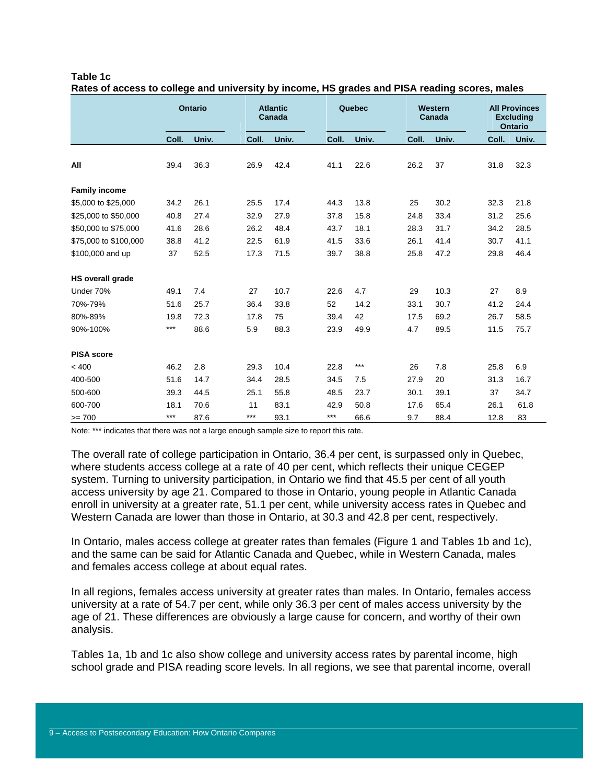|                         |       | <b>Ontario</b> |  | <b>Atlantic</b><br>Quebec<br>Western<br>Canada<br>Canada |       |  |       |       |  |       |       |       | <b>All Provinces</b><br><b>Excluding</b><br><b>Ontario</b> |
|-------------------------|-------|----------------|--|----------------------------------------------------------|-------|--|-------|-------|--|-------|-------|-------|------------------------------------------------------------|
|                         | Coll. | Univ.          |  | Coll.                                                    | Univ. |  | Coll. | Univ. |  | Coll. | Univ. | Coll. | Univ.                                                      |
| All                     | 39.4  | 36.3           |  | 26.9                                                     | 42.4  |  | 41.1  | 22.6  |  | 26.2  | 37    | 31.8  | 32.3                                                       |
| <b>Family income</b>    |       |                |  |                                                          |       |  |       |       |  |       |       |       |                                                            |
| \$5,000 to \$25,000     | 34.2  | 26.1           |  | 25.5                                                     | 17.4  |  | 44.3  | 13.8  |  | 25    | 30.2  | 32.3  | 21.8                                                       |
| \$25,000 to \$50,000    | 40.8  | 27.4           |  | 32.9                                                     | 27.9  |  | 37.8  | 15.8  |  | 24.8  | 33.4  | 31.2  | 25.6                                                       |
| \$50,000 to \$75,000    | 41.6  | 28.6           |  | 26.2                                                     | 48.4  |  | 43.7  | 18.1  |  | 28.3  | 31.7  | 34.2  | 28.5                                                       |
| \$75,000 to \$100,000   | 38.8  | 41.2           |  | 22.5                                                     | 61.9  |  | 41.5  | 33.6  |  | 26.1  | 41.4  | 30.7  | 41.1                                                       |
| \$100,000 and up        | 37    | 52.5           |  | 17.3                                                     | 71.5  |  | 39.7  | 38.8  |  | 25.8  | 47.2  | 29.8  | 46.4                                                       |
| <b>HS overall grade</b> |       |                |  |                                                          |       |  |       |       |  |       |       |       |                                                            |
| Under 70%               | 49.1  | 7.4            |  | 27                                                       | 10.7  |  | 22.6  | 4.7   |  | 29    | 10.3  | 27    | 8.9                                                        |
| 70%-79%                 | 51.6  | 25.7           |  | 36.4                                                     | 33.8  |  | 52    | 14.2  |  | 33.1  | 30.7  | 41.2  | 24.4                                                       |
| 80%-89%                 | 19.8  | 72.3           |  | 17.8                                                     | 75    |  | 39.4  | 42    |  | 17.5  | 69.2  | 26.7  | 58.5                                                       |
| 90%-100%                | ***   | 88.6           |  | 5.9                                                      | 88.3  |  | 23.9  | 49.9  |  | 4.7   | 89.5  | 11.5  | 75.7                                                       |
| <b>PISA</b> score       |       |                |  |                                                          |       |  |       |       |  |       |       |       |                                                            |
| < 400                   | 46.2  | 2.8            |  | 29.3                                                     | 10.4  |  | 22.8  | ***   |  | 26    | 7.8   | 25.8  | 6.9                                                        |
| 400-500                 | 51.6  | 14.7           |  | 34.4                                                     | 28.5  |  | 34.5  | 7.5   |  | 27.9  | 20    | 31.3  | 16.7                                                       |
| 500-600                 | 39.3  | 44.5           |  | 25.1                                                     | 55.8  |  | 48.5  | 23.7  |  | 30.1  | 39.1  | 37    | 34.7                                                       |
| 600-700                 | 18.1  | 70.6           |  | 11                                                       | 83.1  |  | 42.9  | 50.8  |  | 17.6  | 65.4  | 26.1  | 61.8                                                       |
| $>= 700$                | $***$ | 87.6           |  | $***$                                                    | 93.1  |  | $***$ | 66.6  |  | 9.7   | 88.4  | 12.8  | 83                                                         |

| Table 1c                                                                                      |  |  |
|-----------------------------------------------------------------------------------------------|--|--|
| Rates of access to college and university by income, HS grades and PISA reading scores, males |  |  |

Note: \*\*\* indicates that there was not a large enough sample size to report this rate.

The overall rate of college participation in Ontario, 36.4 per cent, is surpassed only in Quebec, where students access college at a rate of 40 per cent, which reflects their unique CEGEP system. Turning to university participation, in Ontario we find that 45.5 per cent of all youth access university by age 21. Compared to those in Ontario, young people in Atlantic Canada enroll in university at a greater rate, 51.1 per cent, while university access rates in Quebec and Western Canada are lower than those in Ontario, at 30.3 and 42.8 per cent, respectively.

In Ontario, males access college at greater rates than females (Figure 1 and Tables 1b and 1c), and the same can be said for Atlantic Canada and Quebec, while in Western Canada, males and females access college at about equal rates.

In all regions, females access university at greater rates than males. In Ontario, females access university at a rate of 54.7 per cent, while only 36.3 per cent of males access university by the age of 21. These differences are obviously a large cause for concern, and worthy of their own analysis.

Tables 1a, 1b and 1c also show college and university access rates by parental income, high school grade and PISA reading score levels. In all regions, we see that parental income, overall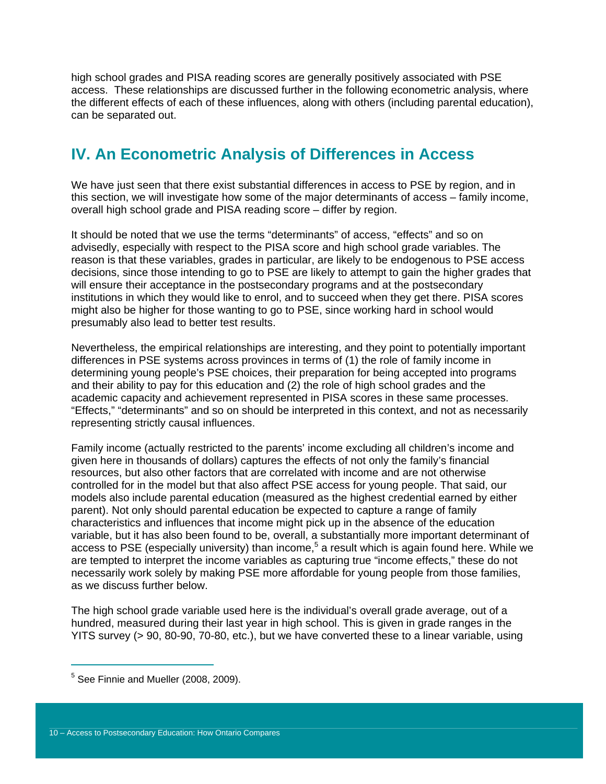high school grades and PISA reading scores are generally positively associated with PSE access. These relationships are discussed further in the following econometric analysis, where the different effects of each of these influences, along with others (including parental education), can be separated out.

## **IV. An Econometric Analysis of Differences in Access**

We have just seen that there exist substantial differences in access to PSE by region, and in this section, we will investigate how some of the major determinants of access – family income, overall high school grade and PISA reading score – differ by region.

It should be noted that we use the terms "determinants" of access, "effects" and so on advisedly, especially with respect to the PISA score and high school grade variables. The reason is that these variables, grades in particular, are likely to be endogenous to PSE access decisions, since those intending to go to PSE are likely to attempt to gain the higher grades that will ensure their acceptance in the postsecondary programs and at the postsecondary institutions in which they would like to enrol, and to succeed when they get there. PISA scores might also be higher for those wanting to go to PSE, since working hard in school would presumably also lead to better test results.

Nevertheless, the empirical relationships are interesting, and they point to potentially important differences in PSE systems across provinces in terms of (1) the role of family income in determining young people's PSE choices, their preparation for being accepted into programs and their ability to pay for this education and (2) the role of high school grades and the academic capacity and achievement represented in PISA scores in these same processes. "Effects," "determinants" and so on should be interpreted in this context, and not as necessarily representing strictly causal influences.

Family income (actually restricted to the parents' income excluding all children's income and given here in thousands of dollars) captures the effects of not only the family's financial resources, but also other factors that are correlated with income and are not otherwise controlled for in the model but that also affect PSE access for young people. That said, our models also include parental education (measured as the highest credential earned by either parent). Not only should parental education be expected to capture a range of family characteristics and influences that income might pick up in the absence of the education variable, but it has also been found to be, overall, a substantially more important determinant of access to PSE (especially university) than income,<sup>5</sup> a result which is again found here. While we are tempted to interpret the income variables as capturing true "income effects," these do not necessarily work solely by making PSE more affordable for young people from those families, as we discuss further below.

The high school grade variable used here is the individual's overall grade average, out of a hundred, measured during their last year in high school. This is given in grade ranges in the YITS survey (> 90, 80-90, 70-80, etc.), but we have converted these to a linear variable, using

<sup>&</sup>lt;sup>5</sup> See Finnie and Mueller (2008, 2009).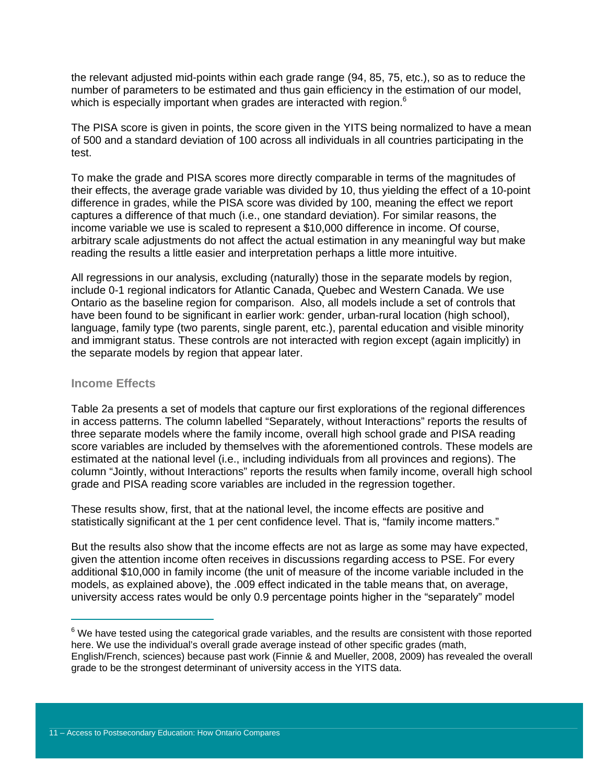the relevant adjusted mid-points within each grade range (94, 85, 75, etc.), so as to reduce the number of parameters to be estimated and thus gain efficiency in the estimation of our model, which is especially important when grades are interacted with region.<sup>6</sup>

The PISA score is given in points, the score given in the YITS being normalized to have a mean of 500 and a standard deviation of 100 across all individuals in all countries participating in the test.

To make the grade and PISA scores more directly comparable in terms of the magnitudes of their effects, the average grade variable was divided by 10, thus yielding the effect of a 10-point difference in grades, while the PISA score was divided by 100, meaning the effect we report captures a difference of that much (i.e., one standard deviation). For similar reasons, the income variable we use is scaled to represent a \$10,000 difference in income. Of course, arbitrary scale adjustments do not affect the actual estimation in any meaningful way but make reading the results a little easier and interpretation perhaps a little more intuitive.

All regressions in our analysis, excluding (naturally) those in the separate models by region, include 0-1 regional indicators for Atlantic Canada, Quebec and Western Canada. We use Ontario as the baseline region for comparison. Also, all models include a set of controls that have been found to be significant in earlier work: gender, urban-rural location (high school), language, family type (two parents, single parent, etc.), parental education and visible minority and immigrant status. These controls are not interacted with region except (again implicitly) in the separate models by region that appear later.

### **Income Effects**

 $\overline{a}$ 

Table 2a presents a set of models that capture our first explorations of the regional differences in access patterns. The column labelled "Separately, without Interactions" reports the results of three separate models where the family income, overall high school grade and PISA reading score variables are included by themselves with the aforementioned controls. These models are estimated at the national level (i.e., including individuals from all provinces and regions). The column "Jointly, without Interactions" reports the results when family income, overall high school grade and PISA reading score variables are included in the regression together.

These results show, first, that at the national level, the income effects are positive and statistically significant at the 1 per cent confidence level. That is, "family income matters."

But the results also show that the income effects are not as large as some may have expected, given the attention income often receives in discussions regarding access to PSE. For every additional \$10,000 in family income (the unit of measure of the income variable included in the models, as explained above), the .009 effect indicated in the table means that, on average, university access rates would be only 0.9 percentage points higher in the "separately" model

 $6$  We have tested using the categorical grade variables, and the results are consistent with those reported here. We use the individual's overall grade average instead of other specific grades (math, English/French, sciences) because past work (Finnie & and Mueller, 2008, 2009) has revealed the overall grade to be the strongest determinant of university access in the YITS data.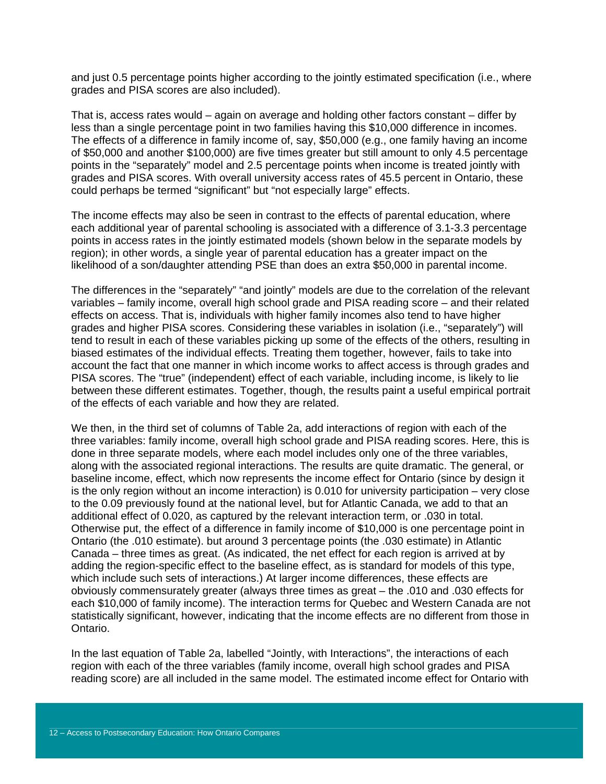and just 0.5 percentage points higher according to the jointly estimated specification (i.e., where grades and PISA scores are also included).

That is, access rates would – again on average and holding other factors constant – differ by less than a single percentage point in two families having this \$10,000 difference in incomes. The effects of a difference in family income of, say, \$50,000 (e.g., one family having an income of \$50,000 and another \$100,000) are five times greater but still amount to only 4.5 percentage points in the "separately" model and 2.5 percentage points when income is treated jointly with grades and PISA scores. With overall university access rates of 45.5 percent in Ontario, these could perhaps be termed "significant" but "not especially large" effects.

The income effects may also be seen in contrast to the effects of parental education, where each additional year of parental schooling is associated with a difference of 3.1-3.3 percentage points in access rates in the jointly estimated models (shown below in the separate models by region); in other words, a single year of parental education has a greater impact on the likelihood of a son/daughter attending PSE than does an extra \$50,000 in parental income.

The differences in the "separately" "and jointly" models are due to the correlation of the relevant variables – family income, overall high school grade and PISA reading score – and their related effects on access. That is, individuals with higher family incomes also tend to have higher grades and higher PISA scores. Considering these variables in isolation (i.e., "separately") will tend to result in each of these variables picking up some of the effects of the others, resulting in biased estimates of the individual effects. Treating them together, however, fails to take into account the fact that one manner in which income works to affect access is through grades and PISA scores. The "true" (independent) effect of each variable, including income, is likely to lie between these different estimates. Together, though, the results paint a useful empirical portrait of the effects of each variable and how they are related.

We then, in the third set of columns of Table 2a, add interactions of region with each of the three variables: family income, overall high school grade and PISA reading scores. Here, this is done in three separate models, where each model includes only one of the three variables, along with the associated regional interactions. The results are quite dramatic. The general, or baseline income, effect, which now represents the income effect for Ontario (since by design it is the only region without an income interaction) is 0.010 for university participation – very close to the 0.09 previously found at the national level, but for Atlantic Canada, we add to that an additional effect of 0.020, as captured by the relevant interaction term, or .030 in total. Otherwise put, the effect of a difference in family income of \$10,000 is one percentage point in Ontario (the .010 estimate). but around 3 percentage points (the .030 estimate) in Atlantic Canada – three times as great. (As indicated, the net effect for each region is arrived at by adding the region-specific effect to the baseline effect, as is standard for models of this type, which include such sets of interactions.) At larger income differences, these effects are obviously commensurately greater (always three times as great – the .010 and .030 effects for each \$10,000 of family income). The interaction terms for Quebec and Western Canada are not statistically significant, however, indicating that the income effects are no different from those in Ontario.

In the last equation of Table 2a, labelled "Jointly, with Interactions", the interactions of each region with each of the three variables (family income, overall high school grades and PISA reading score) are all included in the same model. The estimated income effect for Ontario with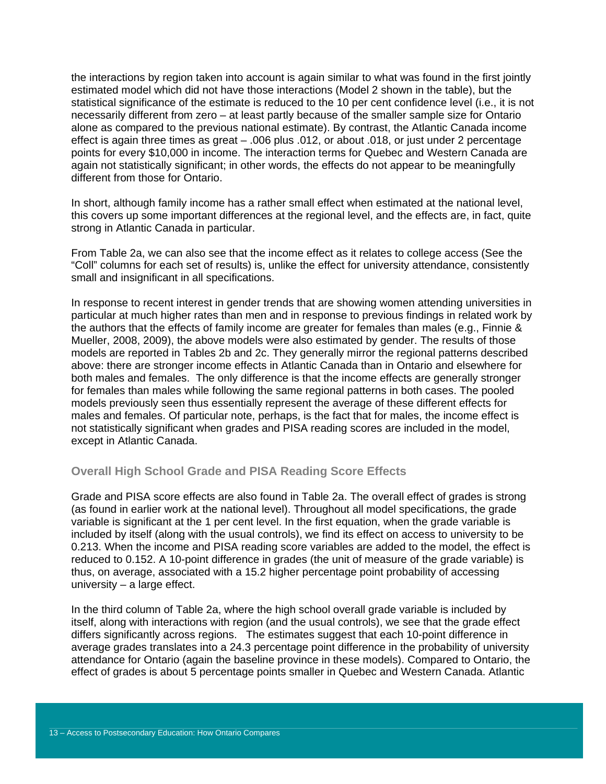the interactions by region taken into account is again similar to what was found in the first jointly estimated model which did not have those interactions (Model 2 shown in the table), but the statistical significance of the estimate is reduced to the 10 per cent confidence level (i.e., it is not necessarily different from zero – at least partly because of the smaller sample size for Ontario alone as compared to the previous national estimate). By contrast, the Atlantic Canada income effect is again three times as great – .006 plus .012, or about .018, or just under 2 percentage points for every \$10,000 in income. The interaction terms for Quebec and Western Canada are again not statistically significant; in other words, the effects do not appear to be meaningfully different from those for Ontario.

In short, although family income has a rather small effect when estimated at the national level, this covers up some important differences at the regional level, and the effects are, in fact, quite strong in Atlantic Canada in particular.

From Table 2a, we can also see that the income effect as it relates to college access (See the "Coll" columns for each set of results) is, unlike the effect for university attendance, consistently small and insignificant in all specifications.

In response to recent interest in gender trends that are showing women attending universities in particular at much higher rates than men and in response to previous findings in related work by the authors that the effects of family income are greater for females than males (e.g., Finnie & Mueller, 2008, 2009), the above models were also estimated by gender. The results of those models are reported in Tables 2b and 2c. They generally mirror the regional patterns described above: there are stronger income effects in Atlantic Canada than in Ontario and elsewhere for both males and females. The only difference is that the income effects are generally stronger for females than males while following the same regional patterns in both cases. The pooled models previously seen thus essentially represent the average of these different effects for males and females. Of particular note, perhaps, is the fact that for males, the income effect is not statistically significant when grades and PISA reading scores are included in the model, except in Atlantic Canada.

### **Overall High School Grade and PISA Reading Score Effects**

Grade and PISA score effects are also found in Table 2a. The overall effect of grades is strong (as found in earlier work at the national level). Throughout all model specifications, the grade variable is significant at the 1 per cent level. In the first equation, when the grade variable is included by itself (along with the usual controls), we find its effect on access to university to be 0.213. When the income and PISA reading score variables are added to the model, the effect is reduced to 0.152. A 10-point difference in grades (the unit of measure of the grade variable) is thus, on average, associated with a 15.2 higher percentage point probability of accessing university – a large effect.

In the third column of Table 2a, where the high school overall grade variable is included by itself, along with interactions with region (and the usual controls), we see that the grade effect differs significantly across regions. The estimates suggest that each 10-point difference in average grades translates into a 24.3 percentage point difference in the probability of university attendance for Ontario (again the baseline province in these models). Compared to Ontario, the effect of grades is about 5 percentage points smaller in Quebec and Western Canada. Atlantic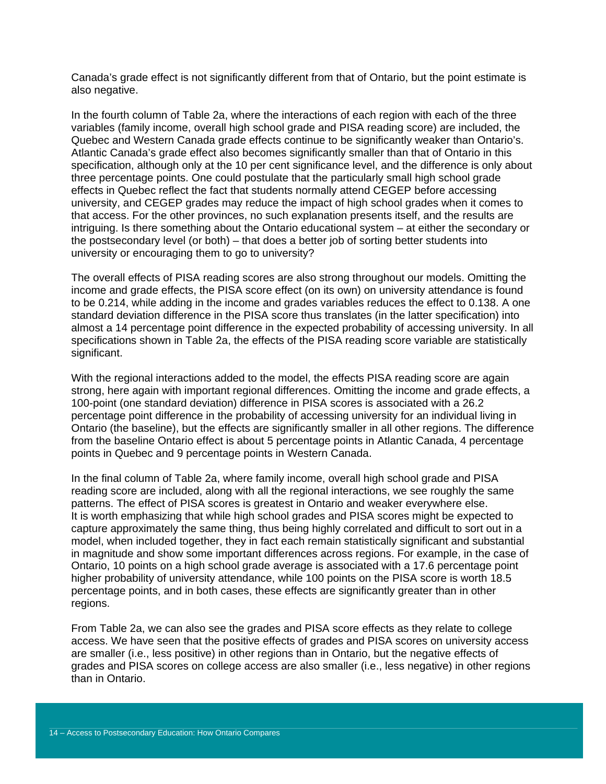Canada's grade effect is not significantly different from that of Ontario, but the point estimate is also negative.

In the fourth column of Table 2a, where the interactions of each region with each of the three variables (family income, overall high school grade and PISA reading score) are included, the Quebec and Western Canada grade effects continue to be significantly weaker than Ontario's. Atlantic Canada's grade effect also becomes significantly smaller than that of Ontario in this specification, although only at the 10 per cent significance level, and the difference is only about three percentage points. One could postulate that the particularly small high school grade effects in Quebec reflect the fact that students normally attend CEGEP before accessing university, and CEGEP grades may reduce the impact of high school grades when it comes to that access. For the other provinces, no such explanation presents itself, and the results are intriguing. Is there something about the Ontario educational system – at either the secondary or the postsecondary level (or both) – that does a better job of sorting better students into university or encouraging them to go to university?

The overall effects of PISA reading scores are also strong throughout our models. Omitting the income and grade effects, the PISA score effect (on its own) on university attendance is found to be 0.214, while adding in the income and grades variables reduces the effect to 0.138. A one standard deviation difference in the PISA score thus translates (in the latter specification) into almost a 14 percentage point difference in the expected probability of accessing university. In all specifications shown in Table 2a, the effects of the PISA reading score variable are statistically significant.

With the regional interactions added to the model, the effects PISA reading score are again strong, here again with important regional differences. Omitting the income and grade effects, a 100-point (one standard deviation) difference in PISA scores is associated with a 26.2 percentage point difference in the probability of accessing university for an individual living in Ontario (the baseline), but the effects are significantly smaller in all other regions. The difference from the baseline Ontario effect is about 5 percentage points in Atlantic Canada, 4 percentage points in Quebec and 9 percentage points in Western Canada.

In the final column of Table 2a, where family income, overall high school grade and PISA reading score are included, along with all the regional interactions, we see roughly the same patterns. The effect of PISA scores is greatest in Ontario and weaker everywhere else. It is worth emphasizing that while high school grades and PISA scores might be expected to capture approximately the same thing, thus being highly correlated and difficult to sort out in a model, when included together, they in fact each remain statistically significant and substantial in magnitude and show some important differences across regions. For example, in the case of Ontario, 10 points on a high school grade average is associated with a 17.6 percentage point higher probability of university attendance, while 100 points on the PISA score is worth 18.5 percentage points, and in both cases, these effects are significantly greater than in other regions.

From Table 2a, we can also see the grades and PISA score effects as they relate to college access. We have seen that the positive effects of grades and PISA scores on university access are smaller (i.e., less positive) in other regions than in Ontario, but the negative effects of grades and PISA scores on college access are also smaller (i.e., less negative) in other regions than in Ontario.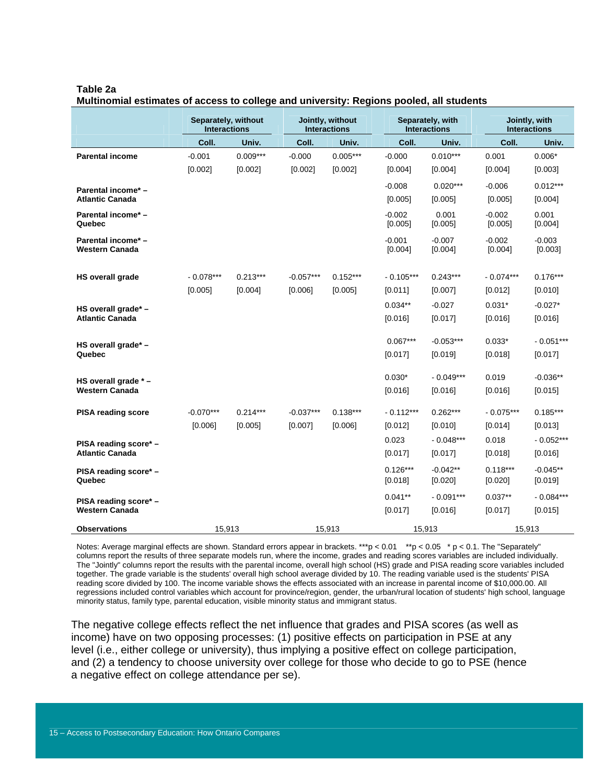#### **Table 2a**

**Multinomial estimates of access to college and university: Regions pooled, all students** 

|                                             | Separately, without<br><b>Interactions</b> |            |             | Jointly, without<br><b>Interactions</b> |                       | Separately, with<br><b>Interactions</b> |                       | Jointly, with<br><b>Interactions</b> |  |
|---------------------------------------------|--------------------------------------------|------------|-------------|-----------------------------------------|-----------------------|-----------------------------------------|-----------------------|--------------------------------------|--|
|                                             | Coll.                                      | Univ.      | Coll.       | Univ.                                   | Coll.                 | Univ.                                   | Coll.                 | Univ.                                |  |
| <b>Parental income</b>                      | $-0.001$                                   | $0.009***$ | $-0.000$    | $0.005***$                              | $-0.000$              | $0.010***$                              | 0.001                 | $0.006*$                             |  |
|                                             | [0.002]                                    | [0.002]    | [0.002]     | [0.002]                                 | [0.004]               | [0.004]                                 | [0.004]               | [0.003]                              |  |
| Parental income* -                          |                                            |            |             |                                         | $-0.008$              | $0.020***$                              | $-0.006$              | $0.012***$                           |  |
| <b>Atlantic Canada</b>                      |                                            |            |             |                                         | [0.005]               | [0.005]                                 | [0.005]               | [0.004]                              |  |
| Parental income* -<br>Quebec                |                                            |            |             |                                         | $-0.002$<br>[0.005]   | 0.001<br>[0.005]                        | $-0.002$<br>[0.005]   | 0.001<br>[0.004]                     |  |
| Parental income* -<br><b>Western Canada</b> |                                            |            |             |                                         | $-0.001$<br>[0.004]   | $-0.007$<br>[0.004]                     | $-0.002$<br>[0.004]   | $-0.003$<br>[0.003]                  |  |
| <b>HS overall grade</b>                     | $-0.078***$                                | $0.213***$ | $-0.057***$ | $0.152***$                              | $-0.105***$           | $0.243***$                              | $-0.074***$           | $0.176***$                           |  |
|                                             | [0.005]                                    | [0.004]    | [0.006]     | [0.005]                                 | [0.011]               | [0.007]                                 | [0.012]               | [0.010]                              |  |
| HS overall grade* -                         |                                            |            |             |                                         | $0.034**$             | $-0.027$                                | $0.031*$              | $-0.027*$                            |  |
| <b>Atlantic Canada</b>                      |                                            |            |             |                                         | [0.016]               | [0.017]                                 | [0.016]               | [0.016]                              |  |
|                                             |                                            |            |             |                                         | $0.067***$            | $-0.053***$                             | $0.033*$              | $-0.051***$                          |  |
| HS overall grade* -<br>Quebec               |                                            |            |             |                                         | [0.017]               | [0.019]                                 | [0.018]               | [0.017]                              |  |
|                                             |                                            |            |             |                                         |                       |                                         |                       |                                      |  |
| HS overall grade * -                        |                                            |            |             |                                         | $0.030*$              | $-0.049***$                             | 0.019                 | $-0.036**$                           |  |
| <b>Western Canada</b>                       |                                            |            |             |                                         | [0.016]               | [0.016]                                 | [0.016]               | [0.015]                              |  |
| <b>PISA reading score</b>                   | $-0.070***$                                | $0.214***$ | $-0.037***$ | $0.138***$                              | $-0.112***$           | $0.262***$                              | $-0.075***$           | $0.185***$                           |  |
|                                             | [0.006]                                    | [0.005]    | [0.007]     | [0.006]                                 | [0.012]               | [0.010]                                 | [0.014]               | [0.013]                              |  |
| PISA reading score* -                       |                                            |            |             |                                         | 0.023                 | $-0.048***$                             | 0.018                 | $-0.052***$                          |  |
| <b>Atlantic Canada</b>                      |                                            |            |             |                                         | [0.017]               | [0.017]                                 | [0.018]               | [0.016]                              |  |
| PISA reading score* -<br>Quebec             |                                            |            |             |                                         | $0.126***$<br>[0.018] | $-0.042**$<br>[0.020]                   | $0.118***$<br>[0.020] | $-0.045**$<br>[0.019]                |  |
| PISA reading score* -                       |                                            |            |             |                                         | $0.041**$             | $-0.091***$                             | $0.037**$             | $-0.084***$                          |  |
| <b>Western Canada</b>                       |                                            |            |             |                                         | [0.017]               | [0.016]                                 | [0.017]               | [0.015]                              |  |
| <b>Observations</b>                         | 15,913                                     |            |             | 15,913                                  |                       | 15,913                                  | 15,913                |                                      |  |

Notes: Average marginal effects are shown. Standard errors appear in brackets. \*\*\*p < 0.01 \*\*p < 0.05 \* p < 0.1. The "Separately" columns report the results of three separate models run, where the income, grades and reading scores variables are included individually. The "Jointly" columns report the results with the parental income, overall high school (HS) grade and PISA reading score variables included together. The grade variable is the students' overall high school average divided by 10. The reading variable used is the students' PISA reading score divided by 100. The income variable shows the effects associated with an increase in parental income of \$10,000.00. All regressions included control variables which account for province/region, gender, the urban/rural location of students' high school, language minority status, family type, parental education, visible minority status and immigrant status.

The negative college effects reflect the net influence that grades and PISA scores (as well as income) have on two opposing processes: (1) positive effects on participation in PSE at any level (i.e., either college or university), thus implying a positive effect on college participation, and (2) a tendency to choose university over college for those who decide to go to PSE (hence a negative effect on college attendance per se).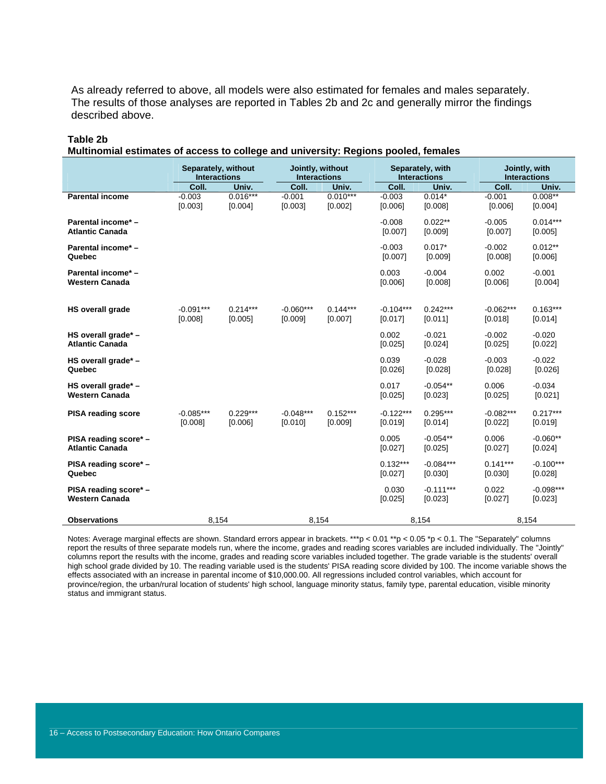As already referred to above, all models were also estimated for females and males separately. The results of those analyses are reported in Tables 2b and 2c and generally mirror the findings described above.

#### **Table 2b**

**Multinomial estimates of access to college and university: Regions pooled, females** 

|                                                 | Separately, without<br><b>Interactions</b> |                       | Jointly, without<br><b>Interactions</b> |                       | Separately, with<br><b>Interactions</b> |                        |                        | Jointly, with<br><b>Interactions</b> |                        |  |
|-------------------------------------------------|--------------------------------------------|-----------------------|-----------------------------------------|-----------------------|-----------------------------------------|------------------------|------------------------|--------------------------------------|------------------------|--|
|                                                 | Coll.                                      | Univ.                 | Coll.                                   | Univ.                 |                                         | Coll.                  | Univ.                  | Coll.                                | Univ.                  |  |
| <b>Parental income</b>                          | $-0.003$<br>[0.003]                        | $0.016***$<br>[0.004] | $-0.001$<br>[0.003]                     | $0.010***$<br>[0.002] |                                         | $-0.003$<br>[0.006]    | $0.014*$<br>[0.008]    | $-0.001$<br>[0.006]                  | $0.008**$<br>[0.004]   |  |
| Parental income* -<br><b>Atlantic Canada</b>    |                                            |                       |                                         |                       |                                         | $-0.008$<br>[0.007]    | $0.022**$<br>[0.009]   | $-0.005$<br>[0.007]                  | $0.014***$<br>[0.005]  |  |
| Parental income* -<br>Quebec                    |                                            |                       |                                         |                       |                                         | $-0.003$<br>[0.007]    | $0.017*$<br>[0.009]    | $-0.002$<br>[0.008]                  | $0.012**$<br>[0.006]   |  |
| Parental income* -<br><b>Western Canada</b>     |                                            |                       |                                         |                       |                                         | 0.003<br>[0.006]       | $-0.004$<br>[0.008]    | 0.002<br>[0.006]                     | $-0.001$<br>[0.004]    |  |
| <b>HS overall grade</b>                         | $-0.091***$<br>[0.008]                     | $0.214***$<br>[0.005] | $-0.060***$<br>[0.009]                  | $0.144***$<br>[0.007] |                                         | $-0.104***$<br>[0.017] | $0.242***$<br>[0.011]  | $-0.062***$<br>[0.018]               | $0.163***$<br>[0.014]  |  |
| HS overall grade* -<br><b>Atlantic Canada</b>   |                                            |                       |                                         |                       |                                         | 0.002<br>[0.025]       | $-0.021$<br>[0.024]    | $-0.002$<br>[0.025]                  | $-0.020$<br>[0.022]    |  |
| HS overall grade* -<br>Quebec                   |                                            |                       |                                         |                       |                                         | 0.039<br>[0.026]       | $-0.028$<br>[0.028]    | $-0.003$<br>[0.028]                  | $-0.022$<br>[0.026]    |  |
| HS overall grade* -<br><b>Western Canada</b>    |                                            |                       |                                         |                       |                                         | 0.017<br>[0.025]       | $-0.054**$<br>[0.023]  | 0.006<br>[0.025]                     | $-0.034$<br>[0.021]    |  |
| <b>PISA reading score</b>                       | $-0.085***$<br>[0.008]                     | $0.229***$<br>[0.006] | $-0.048***$<br>[0.010]                  | $0.152***$<br>[0.009] |                                         | $-0.122***$<br>[0.019] | $0.295***$<br>[0.014]  | $-0.082***$<br>[0.022]               | $0.217***$<br>[0.019]  |  |
| PISA reading score* -<br><b>Atlantic Canada</b> |                                            |                       |                                         |                       |                                         | 0.005<br>[0.027]       | $-0.054**$<br>[0.025]  | 0.006<br>[0.027]                     | $-0.060**$<br>[0.024]  |  |
| PISA reading score* -<br>Quebec                 |                                            |                       |                                         |                       |                                         | $0.132***$<br>[0.027]  | $-0.084***$<br>[0.030] | $0.141***$<br>[0.030]                | $-0.100***$<br>[0.028] |  |
| PISA reading score* -<br><b>Western Canada</b>  |                                            |                       |                                         |                       |                                         | 0.030<br>[0.025]       | $-0.111***$<br>[0.023] | 0.022<br>[0.027]                     | $-0.098***$<br>[0.023] |  |
| <b>Observations</b>                             | 8,154                                      |                       | 8,154                                   |                       |                                         |                        | 8,154                  |                                      | 8,154                  |  |

Notes: Average marginal effects are shown. Standard errors appear in brackets. \*\*\*p < 0.01 \*\*p < 0.05 \*p < 0.1. The "Separately" columns report the results of three separate models run, where the income, grades and reading scores variables are included individually. The "Jointly" columns report the results with the income, grades and reading score variables included together. The grade variable is the students' overall high school grade divided by 10. The reading variable used is the students' PISA reading score divided by 100. The income variable shows the effects associated with an increase in parental income of \$10,000.00. All regressions included control variables, which account for province/region, the urban/rural location of students' high school, language minority status, family type, parental education, visible minority status and immigrant status.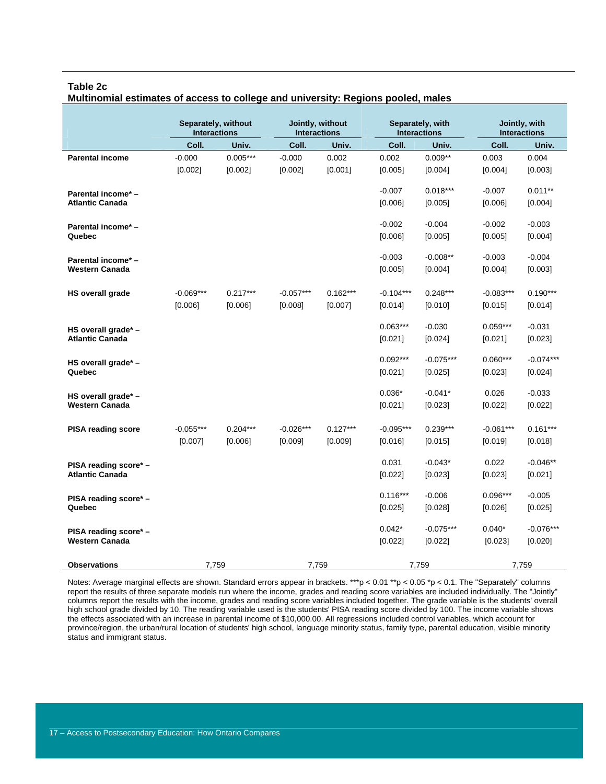#### **Table 2c**

|                           | <b>Interactions</b> | Separately, without | <b>Interactions</b> | Jointly, without | Separately, with<br><b>Interactions</b> |             |             |             | Jointly, with<br><b>Interactions</b> |  |  |
|---------------------------|---------------------|---------------------|---------------------|------------------|-----------------------------------------|-------------|-------------|-------------|--------------------------------------|--|--|
|                           | Coll.               | Univ.               | Coll.               | Univ.            | Coll.                                   | Univ.       | Coll.       | Univ.       |                                      |  |  |
| <b>Parental income</b>    | $-0.000$            | $0.005***$          | $-0.000$            | 0.002            | 0.002                                   | $0.009**$   | 0.003       | 0.004       |                                      |  |  |
|                           | [0.002]             | [0.002]             | [0.002]             | [0.001]          | [0.005]                                 | [0.004]     | [0.004]     | [0.003]     |                                      |  |  |
| Parental income* -        |                     |                     |                     |                  | $-0.007$                                | $0.018***$  | $-0.007$    | $0.011**$   |                                      |  |  |
| <b>Atlantic Canada</b>    |                     |                     |                     |                  | [0.006]                                 | $[0.005]$   | [0.006]     | [0.004]     |                                      |  |  |
| Parental income* -        |                     |                     |                     |                  | $-0.002$                                | $-0.004$    | $-0.002$    | $-0.003$    |                                      |  |  |
| Quebec                    |                     |                     |                     |                  | [0.006]                                 | [0.005]     | [0.005]     | [0.004]     |                                      |  |  |
| Parental income* -        |                     |                     |                     |                  | $-0.003$                                | $-0.008**$  | $-0.003$    | $-0.004$    |                                      |  |  |
| <b>Western Canada</b>     |                     |                     |                     |                  | [0.005]                                 | [0.004]     | [0.004]     | [0.003]     |                                      |  |  |
| <b>HS overall grade</b>   | $-0.069***$         | $0.217***$          | $-0.057***$         | $0.162***$       | $-0.104***$                             | $0.248***$  | $-0.083***$ | $0.190***$  |                                      |  |  |
|                           | [0.006]             | [0.006]             | [0.008]             | [0.007]          | [0.014]                                 | [0.010]     | [0.015]     | [0.014]     |                                      |  |  |
| HS overall grade* -       |                     |                     |                     |                  | $0.063***$                              | $-0.030$    | $0.059***$  | $-0.031$    |                                      |  |  |
| <b>Atlantic Canada</b>    |                     |                     |                     |                  | [0.021]                                 | [0.024]     | [0.021]     | [0.023]     |                                      |  |  |
| HS overall grade* -       |                     |                     |                     |                  | $0.092***$                              | $-0.075***$ | $0.060***$  | $-0.074***$ |                                      |  |  |
| Quebec                    |                     |                     |                     |                  | [0.021]                                 | [0.025]     | $[0.023]$   | [0.024]     |                                      |  |  |
| HS overall grade* -       |                     |                     |                     |                  | $0.036*$                                | $-0.041*$   | 0.026       | $-0.033$    |                                      |  |  |
| <b>Western Canada</b>     |                     |                     |                     |                  | [0.021]                                 | [0.023]     | [0.022]     | [0.022]     |                                      |  |  |
| <b>PISA reading score</b> | $-0.055***$         | $0.204***$          | $-0.026***$         | $0.127***$       | $-0.095***$                             | $0.239***$  | $-0.061***$ | $0.161***$  |                                      |  |  |
|                           | [0.007]             | [0.006]             | [0.009]             | [0.009]          | [0.016]                                 | [0.015]     | [0.019]     | [0.018]     |                                      |  |  |
| PISA reading score* -     |                     |                     |                     |                  | 0.031                                   | $-0.043*$   | 0.022       | $-0.046**$  |                                      |  |  |
| <b>Atlantic Canada</b>    |                     |                     |                     |                  | [0.022]                                 | [0.023]     | [0.023]     | [0.021]     |                                      |  |  |
| PISA reading score* -     |                     |                     |                     |                  | $0.116***$                              | $-0.006$    | $0.096***$  | $-0.005$    |                                      |  |  |
| Quebec                    |                     |                     |                     |                  | [0.025]                                 | [0.028]     | [0.026]     | [0.025]     |                                      |  |  |
| PISA reading score* -     |                     |                     |                     |                  | $0.042*$                                | $-0.075***$ | $0.040*$    | $-0.076***$ |                                      |  |  |
| <b>Western Canada</b>     |                     |                     |                     |                  | [0.022]                                 | [0.022]     | [0.023]     | [0.020]     |                                      |  |  |
| <b>Observations</b>       | 7,759               |                     | 7,759               |                  |                                         | 7,759       |             | 7,759       |                                      |  |  |

**Multinomial estimates of access to college and university: Regions pooled, males** 

Notes: Average marginal effects are shown. Standard errors appear in brackets. \*\*\*p < 0.01 \*\*p < 0.05 \*p < 0.1. The "Separately" columns report the results of three separate models run where the income, grades and reading score variables are included individually. The "Jointly" columns report the results with the income, grades and reading score variables included together. The grade variable is the students' overall high school grade divided by 10. The reading variable used is the students' PISA reading score divided by 100. The income variable shows the effects associated with an increase in parental income of \$10,000.00. All regressions included control variables, which account for province/region, the urban/rural location of students' high school, language minority status, family type, parental education, visible minority status and immigrant status.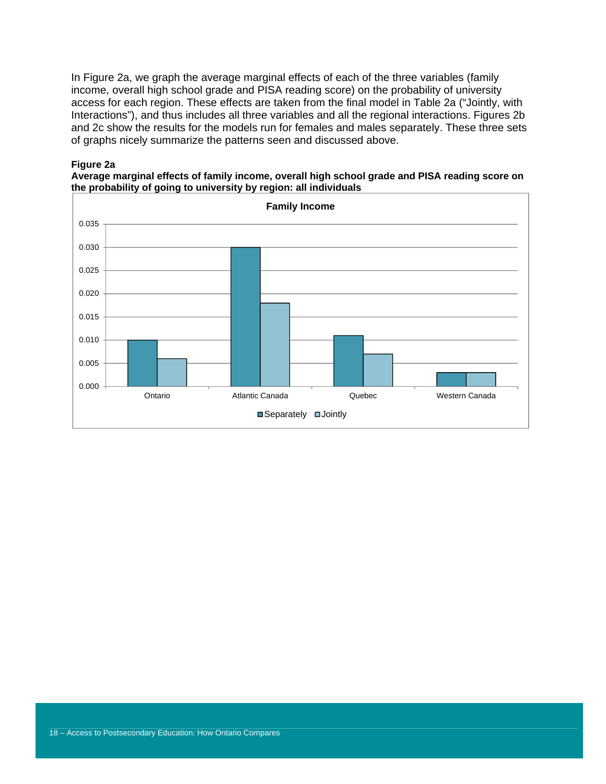In Figure 2a, we graph the average marginal effects of each of the three variables (family income, overall high school grade and PISA reading score) on the probability of university access for each region. These effects are taken from the final model in Table 2a ("Jointly, with Interactions"), and thus includes all three variables and all the regional interactions. Figures 2b and 2c show the results for the models run for females and males separately. These three sets of graphs nicely summarize the patterns seen and discussed above.

#### **Figure 2a**



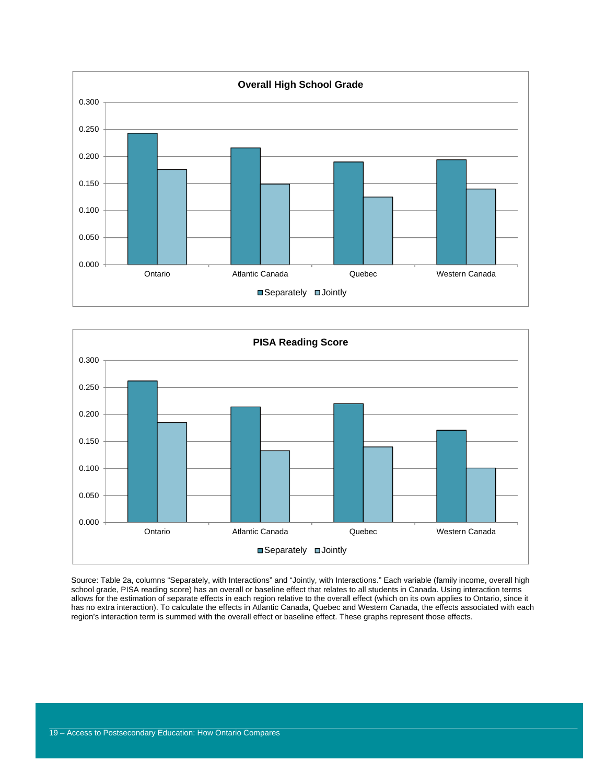



Source: Table 2a, columns "Separately, with Interactions" and "Jointly, with Interactions." Each variable (family income, overall high school grade, PISA reading score) has an overall or baseline effect that relates to all students in Canada. Using interaction terms allows for the estimation of separate effects in each region relative to the overall effect (which on its own applies to Ontario, since it has no extra interaction). To calculate the effects in Atlantic Canada, Quebec and Western Canada, the effects associated with each region's interaction term is summed with the overall effect or baseline effect. These graphs represent those effects.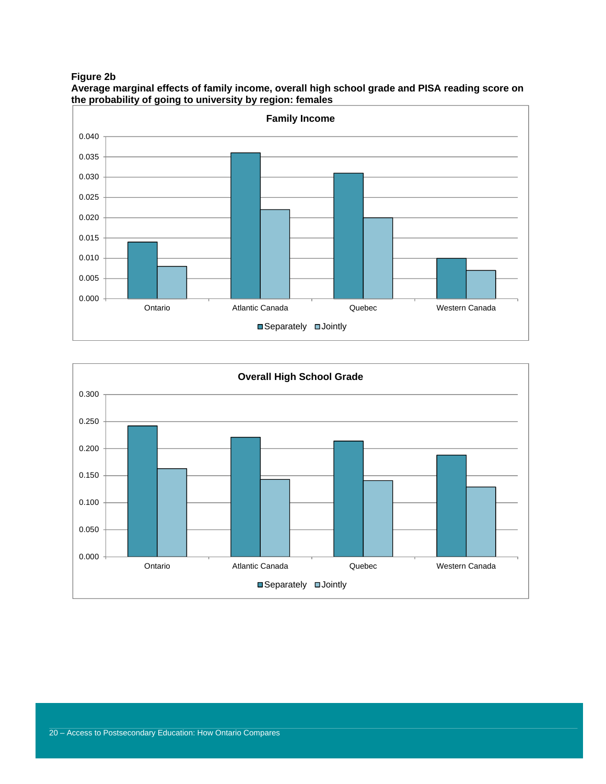**Figure 2b** 



**Average marginal effects of family income, overall high school grade and PISA reading score on the probability of going to university by region: females** 

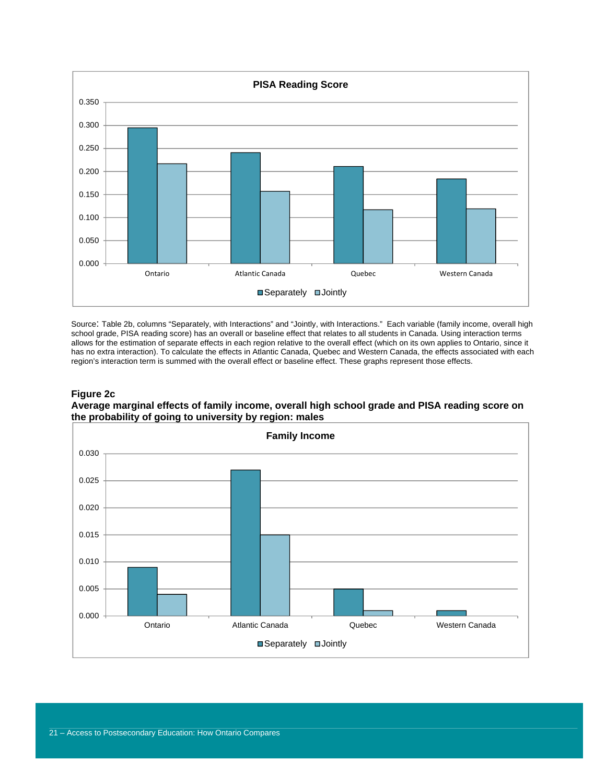

Source: Table 2b, columns "Separately, with Interactions" and "Jointly, with Interactions." Each variable (family income, overall high school grade, PISA reading score) has an overall or baseline effect that relates to all students in Canada. Using interaction terms allows for the estimation of separate effects in each region relative to the overall effect (which on its own applies to Ontario, since it has no extra interaction). To calculate the effects in Atlantic Canada, Quebec and Western Canada, the effects associated with each region's interaction term is summed with the overall effect or baseline effect. These graphs represent those effects.

#### **Figure 2c**

**Average marginal effects of family income, overall high school grade and PISA reading score on the probability of going to university by region: males** 

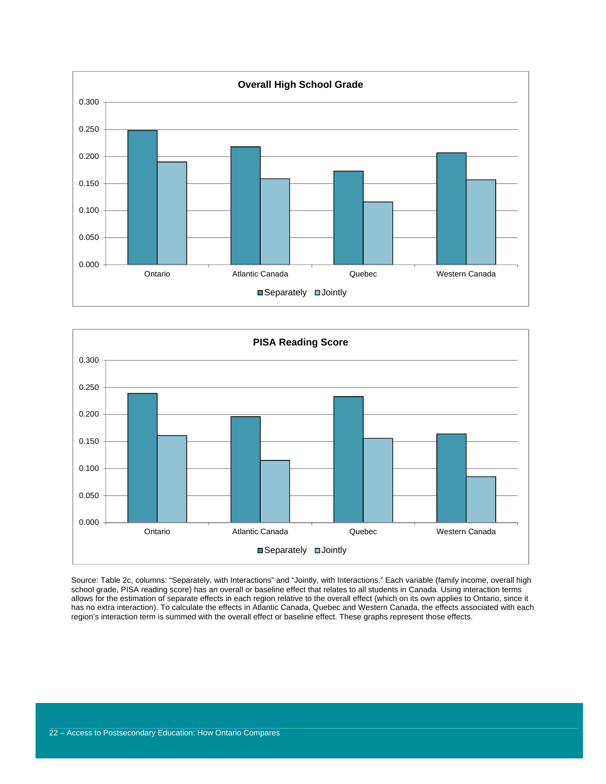



Source: Table 2c, columns: "Separately, with Interactions" and "Jointly, with Interactions." Each variable (family income, overall high school grade, PISA reading score) has an overall or baseline effect that relates to all students in Canada. Using interaction terms allows for the estimation of separate effects in each region relative to the overall effect (which on its own applies to Ontario, since it has no extra interaction). To calculate the effects in Atlantic Canada, Quebec and Western Canada, the effects associated with each region's interaction term is summed with the overall effect or baseline effect. These graphs represent those effects.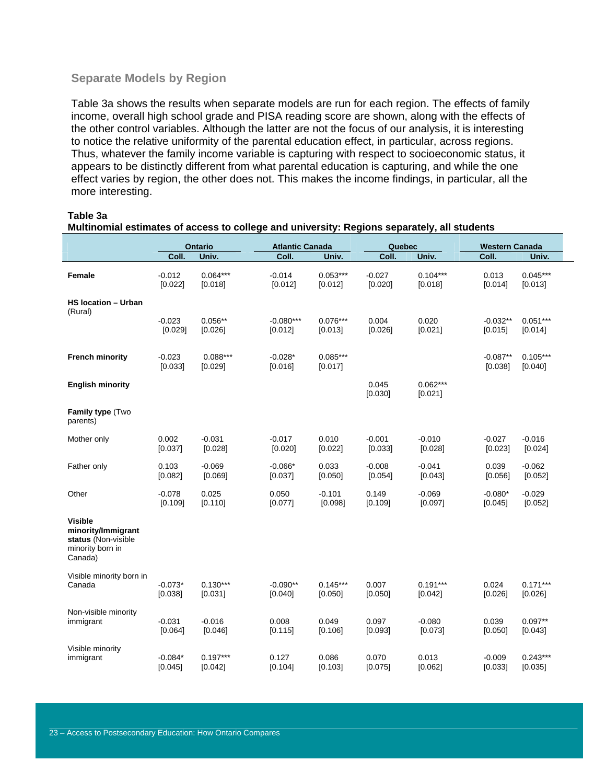#### **Separate Models by Region**

Table 3a shows the results when separate models are run for each region. The effects of family income, overall high school grade and PISA reading score are shown, along with the effects of the other control variables. Although the latter are not the focus of our analysis, it is interesting to notice the relative uniformity of the parental education effect, in particular, across regions. Thus, whatever the family income variable is capturing with respect to socioeconomic status, it appears to be distinctly different from what parental education is capturing, and while the one effect varies by region, the other does not. This makes the income findings, in particular, all the more interesting.

#### **Table 3a**

|                                                                                            |                      | Ontario               | <b>Atlantic Canada</b> |                       | <b>Quebec</b>       |                       | <b>Western Canada</b> |                       |  |
|--------------------------------------------------------------------------------------------|----------------------|-----------------------|------------------------|-----------------------|---------------------|-----------------------|-----------------------|-----------------------|--|
|                                                                                            | Coll.                | Univ.                 | Coll.                  | Univ.                 | Coll.               | Univ.                 | Coll.                 | Univ.                 |  |
| Female                                                                                     | $-0.012$<br>[0.022]  | $0.064***$<br>[0.018] | $-0.014$<br>[0.012]    | $0.053***$<br>[0.012] | $-0.027$<br>[0.020] | $0.104***$<br>[0.018] | 0.013<br>[0.014]      | $0.045***$<br>[0.013] |  |
| <b>HS location - Urban</b><br>(Rural)                                                      | $-0.023$             | $0.056**$             | $-0.080***$            | $0.076***$            | 0.004               | 0.020                 | $-0.032**$            | $0.051***$            |  |
|                                                                                            | [0.029]              | [0.026]               | [0.012]                | [0.013]               | [0.026]             | [0.021]               | [0.015]               | [0.014]               |  |
| <b>French minority</b>                                                                     | $-0.023$<br>[0.033]  | $0.088***$<br>[0.029] | $-0.028*$<br>[0.016]   | $0.085***$<br>[0.017] |                     |                       | $-0.087**$<br>[0.038] | $0.105***$<br>[0.040] |  |
| <b>English minority</b>                                                                    |                      |                       |                        |                       | 0.045<br>[0.030]    | $0.062***$<br>[0.021] |                       |                       |  |
| Family type (Two<br>parents)                                                               |                      |                       |                        |                       |                     |                       |                       |                       |  |
| Mother only                                                                                | 0.002<br>[0.037]     | $-0.031$<br>[0.028]   | $-0.017$<br>[0.020]    | 0.010<br>[0.022]      | $-0.001$<br>[0.033] | $-0.010$<br>[0.028]   | $-0.027$<br>[0.023]   | $-0.016$<br>[0.024]   |  |
| Father only                                                                                | 0.103<br>[0.082]     | $-0.069$<br>[0.069]   | $-0.066*$<br>[0.037]   | 0.033<br>[0.050]      | $-0.008$<br>[0.054] | $-0.041$<br>[0.043]   | 0.039<br>[0.056]      | $-0.062$<br>[0.052]   |  |
| Other                                                                                      | $-0.078$<br>[0.109]  | 0.025<br>[0.110]      | 0.050<br>[0.077]       | $-0.101$<br>[0.098]   | 0.149<br>[0.109]    | $-0.069$<br>[0.097]   | $-0.080*$<br>[0.045]  | $-0.029$<br>[0.052]   |  |
| <b>Visible</b><br>minority/Immigrant<br>status (Non-visible<br>minority born in<br>Canada) |                      |                       |                        |                       |                     |                       |                       |                       |  |
| Visible minority born in<br>Canada                                                         | $-0.073*$<br>[0.038] | $0.130***$<br>[0.031] | $-0.090**$<br>[0.040]  | $0.145***$<br>[0.050] | 0.007<br>[0.050]    | $0.191***$<br>[0.042] | 0.024<br>[0.026]      | $0.171***$<br>[0.026] |  |
| Non-visible minority<br>immigrant                                                          | $-0.031$<br>[0.064]  | $-0.016$<br>[0.046]   | 0.008<br>[0.115]       | 0.049<br>[0.106]      | 0.097<br>[0.093]    | $-0.080$<br>[0.073]   | 0.039<br>[0.050]      | $0.097**$<br>[0.043]  |  |
| Visible minority<br>immigrant                                                              | $-0.084*$<br>[0.045] | $0.197***$<br>[0.042] | 0.127<br>[0.104]       | 0.086<br>[0.103]      | 0.070<br>[0.075]    | 0.013<br>[0.062]      | $-0.009$<br>[0.033]   | $0.243***$<br>[0.035] |  |

**Multinomial estimates of access to college and university: Regions separately, all students**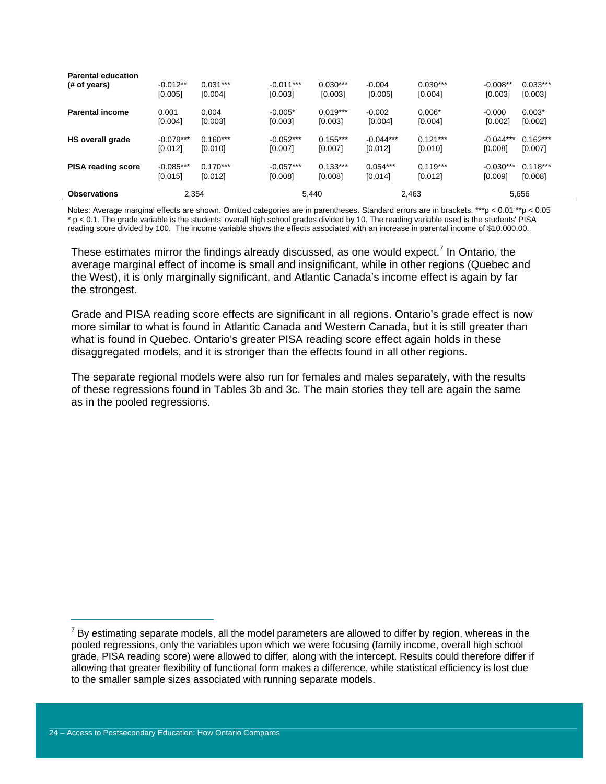| <b>Observations</b>                       | 2.354                  |                       |                        | 5,440                 |                        | 2,463                 |                        | 5,656                 |  |
|-------------------------------------------|------------------------|-----------------------|------------------------|-----------------------|------------------------|-----------------------|------------------------|-----------------------|--|
| <b>PISA reading score</b>                 | $-0.085***$<br>[0.015] | $0.170***$<br>[0.012] | $-0.057***$<br>[0.008] | $0.133***$<br>[0.008] | $0.054***$<br>[0.014]  | $0.119***$<br>[0.012] | $-0.030***$<br>[0.009] | $0.118***$<br>[0.008] |  |
| HS overall grade                          | $-0.079***$<br>[0.012] | $0.160***$<br>[0.010] | $-0.052***$<br>[0.007] | $0.155***$<br>[0.007] | $-0.044***$<br>[0.012] | $0.121***$<br>[0.010] | $-0.044***$<br>[0.008] | $0.162***$<br>[0.007] |  |
| <b>Parental income</b>                    | 0.001<br>[0.004]       | 0.004<br>[0.003]      | $-0.005*$<br>[0.003]   | $0.019***$<br>[0.003] | $-0.002$<br>[0.004]    | $0.006*$<br>[0.004]   | $-0.000$<br>[0.002]    | $0.003*$<br>[0.002]   |  |
| <b>Parental education</b><br>(# of years) | $-0.012**$<br>[0.005]  | $0.031***$<br>[0.004] | $-0.011***$<br>[0.003] | $0.030***$<br>[0.003] | $-0.004$<br>[0.005]    | $0.030***$<br>[0.004] | $-0.008**$<br>[0.003]  | $0.033***$<br>[0.003] |  |

Notes: Average marginal effects are shown. Omitted categories are in parentheses. Standard errors are in brackets. \*\*\*p < 0.01 \*\*p < 0.05 \* p < 0.1. The grade variable is the students' overall high school grades divided by 10. The reading variable used is the students' PISA reading score divided by 100. The income variable shows the effects associated with an increase in parental income of \$10,000.00.

These estimates mirror the findings already discussed, as one would expect.<sup>7</sup> In Ontario, the average marginal effect of income is small and insignificant, while in other regions (Quebec and the West), it is only marginally significant, and Atlantic Canada's income effect is again by far the strongest.

Grade and PISA reading score effects are significant in all regions. Ontario's grade effect is now more similar to what is found in Atlantic Canada and Western Canada, but it is still greater than what is found in Quebec. Ontario's greater PISA reading score effect again holds in these disaggregated models, and it is stronger than the effects found in all other regions.

The separate regional models were also run for females and males separately, with the results of these regressions found in Tables 3b and 3c. The main stories they tell are again the same as in the pooled regressions.

 $7$  By estimating separate models, all the model parameters are allowed to differ by region, whereas in the pooled regressions, only the variables upon which we were focusing (family income, overall high school grade, PISA reading score) were allowed to differ, along with the intercept. Results could therefore differ if allowing that greater flexibility of functional form makes a difference, while statistical efficiency is lost due to the smaller sample sizes associated with running separate models.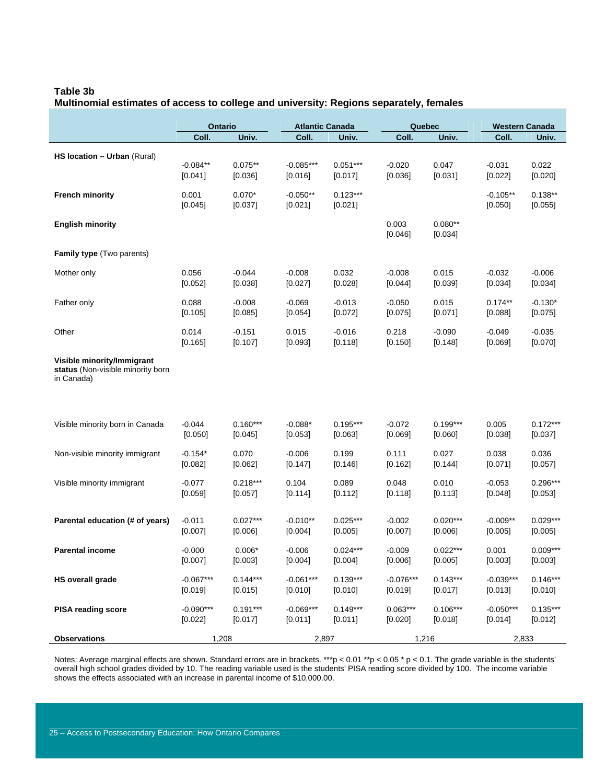#### **Table 3b**

|                                                                 | Ontario          |                     | <b>Atlantic Canada</b> |                     | Quebec      |                     |                     | <b>Western Canada</b> |
|-----------------------------------------------------------------|------------------|---------------------|------------------------|---------------------|-------------|---------------------|---------------------|-----------------------|
|                                                                 | Coll.            | Univ.               | Coll.                  | Univ.               | Coll.       | Univ.               | Coll.               | Univ.                 |
|                                                                 |                  |                     |                        |                     |             |                     |                     |                       |
| HS location - Urban (Rural)                                     | $-0.084**$       | $0.075**$           | $-0.085***$            | $0.051***$          | $-0.020$    | 0.047               | $-0.031$            | 0.022                 |
|                                                                 | [0.041]          | [0.036]             | [0.016]                | [0.017]             | [0.036]     | [0.031]             | [0.022]             | [0.020]               |
|                                                                 |                  |                     |                        |                     |             |                     |                     |                       |
| <b>French minority</b>                                          | 0.001            | $0.070*$            | $-0.050**$             | $0.123***$          |             |                     | $-0.105**$          | $0.138**$             |
|                                                                 | [0.045]          | [0.037]             | [0.021]                | [0.021]             |             |                     | [0.050]             | [0.055]               |
| <b>English minority</b>                                         |                  |                     |                        |                     | 0.003       | $0.080**$           |                     |                       |
|                                                                 |                  |                     |                        |                     | [0.046]     | [0.034]             |                     |                       |
| <b>Family type</b> (Two parents)                                |                  |                     |                        |                     |             |                     |                     |                       |
|                                                                 |                  |                     |                        |                     |             |                     |                     |                       |
| Mother only                                                     | 0.056            | $-0.044$            | $-0.008$               | 0.032               | $-0.008$    | 0.015               | $-0.032$            | $-0.006$              |
|                                                                 | [0.052]          | [0.038]             | [0.027]                | [0.028]             | [0.044]     | [0.039]             | [0.034]             | [0.034]               |
| Father only                                                     | 0.088            | $-0.008$            | $-0.069$               | $-0.013$            | $-0.050$    | 0.015               | $0.174**$           | $-0.130*$             |
|                                                                 | [0.105]          | [0.085]             | [0.054]                | [0.072]             | [0.075]     | [0.071]             | [0.088]             | [0.075]               |
|                                                                 |                  |                     |                        |                     | 0.218       |                     |                     |                       |
| Other                                                           | 0.014<br>[0.165] | $-0.151$<br>[0.107] | 0.015<br>[0.093]       | $-0.016$<br>[0.118] | [0.150]     | $-0.090$<br>[0.148] | $-0.049$<br>[0.069] | $-0.035$<br>[0.070]   |
|                                                                 |                  |                     |                        |                     |             |                     |                     |                       |
| Visible minority/Immigrant<br>status (Non-visible minority born |                  |                     |                        |                     |             |                     |                     |                       |
| in Canada)                                                      |                  |                     |                        |                     |             |                     |                     |                       |
|                                                                 |                  |                     |                        |                     |             |                     |                     |                       |
|                                                                 |                  |                     |                        |                     |             |                     |                     |                       |
|                                                                 |                  |                     |                        |                     |             |                     |                     |                       |
| Visible minority born in Canada                                 | $-0.044$         | $0.160***$          | $-0.088*$              | $0.195***$          | $-0.072$    | $0.199***$          | 0.005               | $0.172***$            |
|                                                                 | [0.050]          | [0.045]             | [0.053]                | [0.063]             | [0.069]     | [0.060]             | [0.038]             | [0.037]               |
| Non-visible minority immigrant                                  | $-0.154*$        | 0.070               | $-0.006$               | 0.199               | 0.111       | 0.027               | 0.038               | 0.036                 |
|                                                                 | [0.082]          | [0.062]             | [0.147]                | [0.146]             | [0.162]     | [0.144]             | [0.071]             | [0.057]               |
| Visible minority immigrant                                      | $-0.077$         | $0.218***$          | 0.104                  | 0.089               | 0.048       | 0.010               | $-0.053$            | $0.296***$            |
|                                                                 | [0.059]          | [0.057]             | [0.114]                | [0.112]             | [0.118]     | [0.113]             | [0.048]             | [0.053]               |
|                                                                 |                  |                     |                        |                     |             |                     |                     |                       |
| Parental education (# of years)                                 | $-0.011$         | $0.027***$          | $-0.010**$             | $0.025***$          | $-0.002$    | $0.020***$          | $-0.009**$          | $0.029***$            |
|                                                                 | [0.007]          | [0.006]             | [0.004]                | [0.005]             | [0.007]     | [0.006]             | [0.005]             | [0.005]               |
|                                                                 |                  |                     |                        |                     |             |                     |                     |                       |
| <b>Parental income</b>                                          | $-0.000$         | $0.006*$            | $-0.006$               | $0.024***$          | $-0.009$    | $0.022***$          | 0.001               | $0.009***$            |
|                                                                 | [0.007]          | [0.003]             | [0.004]                | [0.004]             | [0.006]     | [0.005]             | [0.003]             | [0.003]               |
| <b>HS overall grade</b>                                         | $-0.067***$      | $0.144***$          | $-0.061***$            | $0.139***$          | $-0.076***$ | $0.143***$          | $-0.039***$         | $0.146***$            |
|                                                                 | [0.019]          | [0.015]             | [0.010]                | [0.010]             | [0.019]     | [0.017]             | [0.013]             | [0.010]               |
| <b>PISA reading score</b>                                       | $-0.090***$      | $0.191***$          | $-0.069***$            | $0.149***$          | $0.063***$  | $0.106***$          | $-0.050***$         | $0.135***$            |
|                                                                 | [0.022]          | [0.017]             | [0.011]                | [0.011]             | $[0.020]$   | [0.018]             | [0.014]             | [0.012]               |
|                                                                 |                  |                     |                        |                     |             |                     |                     |                       |
| <b>Observations</b>                                             | 1,208            |                     | 2,897                  |                     | 1,216       |                     | 2,833               |                       |

## **Multinomial estimates of access to college and university: Regions separately, females**

Notes: Average marginal effects are shown. Standard errors are in brackets. \*\*\*p < 0.01 \*\*p < 0.05 \* p < 0.1. The grade variable is the students' overall high school grades divided by 10. The reading variable used is the students' PISA reading score divided by 100. The income variable shows the effects associated with an increase in parental income of \$10,000.00.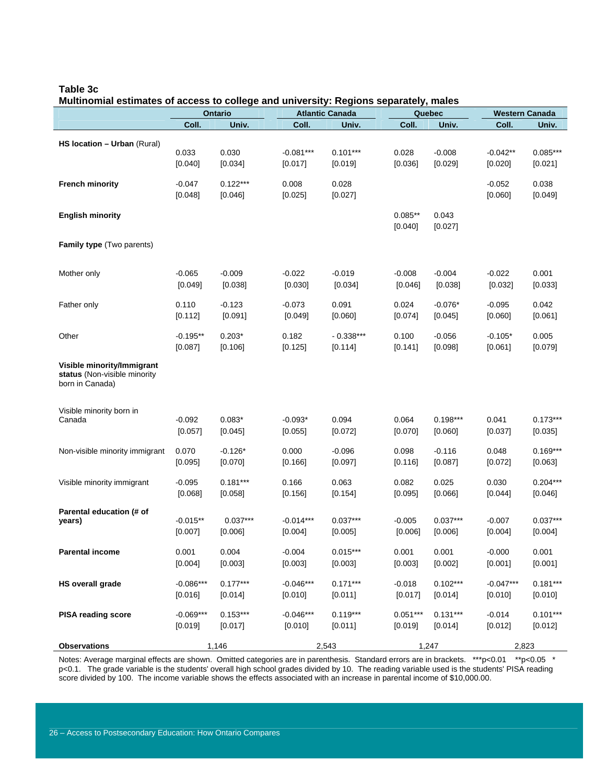#### **Table 3c**

#### **Multinomial estimates of access to college and university: Regions separately, males**

|                                                                               | <b>Ontario</b>      |                       | <b>Atlantic Canada</b> |                  | Quebec               |                  | <b>Western Canada</b> |                  |
|-------------------------------------------------------------------------------|---------------------|-----------------------|------------------------|------------------|----------------------|------------------|-----------------------|------------------|
|                                                                               | Coll.               | Univ.                 | Coll.                  | Univ.            | Coll.                | Univ.            | Coll.                 | Univ.            |
| HS location - Urban (Rural)                                                   | 0.033               | 0.030                 | $-0.081***$            | $0.101***$       | 0.028                | $-0.008$         | $-0.042**$            | $0.085***$       |
|                                                                               | [0.040]             | [0.034]               | [0.017]                | [0.019]          | [0.036]              | [0.029]          | [0.020]               | [0.021]          |
| <b>French minority</b>                                                        | $-0.047$<br>[0.048] | $0.122***$<br>[0.046] | 0.008<br>[0.025]       | 0.028<br>[0.027] |                      |                  | $-0.052$<br>[0.060]   | 0.038<br>[0.049] |
| <b>English minority</b>                                                       |                     |                       |                        |                  | $0.085**$<br>[0.040] | 0.043<br>[0.027] |                       |                  |
| <b>Family type</b> (Two parents)                                              |                     |                       |                        |                  |                      |                  |                       |                  |
| Mother only                                                                   | $-0.065$            | $-0.009$              | $-0.022$               | $-0.019$         | $-0.008$             | $-0.004$         | $-0.022$              | 0.001            |
|                                                                               | [0.049]             | [0.038]               | [0.030]                | [0.034]          | [0.046]              | [0.038]          | [0.032]               | [0.033]          |
| Father only                                                                   | 0.110               | $-0.123$              | $-0.073$               | 0.091            | 0.024                | $-0.076*$        | $-0.095$              | 0.042            |
|                                                                               | [0.112]             | [0.091]               | [0.049]                | [0.060]          | [0.074]              | [0.045]          | [0.060]               | [0.061]          |
| Other                                                                         | $-0.195**$          | $0.203*$              | 0.182                  | $-0.338***$      | 0.100                | $-0.056$         | $-0.105*$             | 0.005            |
|                                                                               | [0.087]             | [0.106]               | [0.125]                | [0.114]          | [0.141]              | [0.098]          | [0.061]               | [0.079]          |
| Visible minority/Immigrant<br>status (Non-visible minority<br>born in Canada) |                     |                       |                        |                  |                      |                  |                       |                  |
| Visible minority born in                                                      | $-0.092$            | $0.083*$              | $-0.093*$              | 0.094            | 0.064                | $0.198***$       | 0.041                 | $0.173***$       |
| Canada                                                                        | [0.057]             | [0.045]               | [0.055]                | [0.072]          | [0.070]              | [0.060]          | [0.037]               | [0.035]          |
| Non-visible minority immigrant                                                | 0.070               | $-0.126*$             | 0.000                  | $-0.096$         | 0.098                | $-0.116$         | 0.048                 | $0.169***$       |
|                                                                               | [0.095]             | [0.070]               | [0.166]                | [0.097]          | [0.116]              | [0.087]          | [0.072]               | [0.063]          |
| Visible minority immigrant                                                    | $-0.095$            | $0.181***$            | 0.166                  | 0.063            | 0.082                | 0.025            | 0.030                 | $0.204***$       |
|                                                                               | [0.068]             | [0.058]               | [0.156]                | [0.154]          | [0.095]              | [0.066]          | [0.044]               | [0.046]          |
| Parental education (# of                                                      | $-0.015**$          | $0.037***$            | $-0.014***$            | $0.037***$       | $-0.005$             | $0.037***$       | $-0.007$              | $0.037***$       |
| years)                                                                        | [0.007]             | [0.006]               | [0.004]                | [0.005]          | [0.006]              | [0.006]          | [0.004]               | [0.004]          |
| <b>Parental income</b>                                                        | 0.001               | 0.004                 | $-0.004$               | $0.015***$       | 0.001                | 0.001            | $-0.000$              | 0.001            |
|                                                                               | [0.004]             | [0.003]               | [0.003]                | [0.003]          | [0.003]              | [0.002]          | [0.001]               | [0.001]          |
| <b>HS overall grade</b>                                                       | $-0.086***$         | $0.177***$            | $-0.046***$            | $0.171***$       | $-0.018$             | $0.102***$       | $-0.047***$           | $0.181***$       |
|                                                                               | [0.016]             | [0.014]               | [0.010]                | [0.011]          | [0.017]              | [0.014]          | [0.010]               | [0.010]          |
| <b>PISA reading score</b>                                                     | $-0.069***$         | $0.153***$            | $-0.046***$            | $0.119***$       | $0.051***$           | $0.131***$       | $-0.014$              | $0.101***$       |
|                                                                               | [0.019]             | [0.017]               | [0.010]                | [0.011]          | [0.019]              | [0.014]          | [0.012]               | [0.012]          |
| <b>Observations</b>                                                           | 1,146               |                       | 2,543                  |                  | 1,247                |                  | 2,823                 |                  |

Notes: Average marginal effects are shown. Omitted categories are in parenthesis. Standard errors are in brackets. \*\*\*p<0.01 \*\*p<0.05 \* p<0.1. The grade variable is the students' overall high school grades divided by 10. The reading variable used is the students' PISA reading score divided by 100. The income variable shows the effects associated with an increase in parental income of \$10,000.00.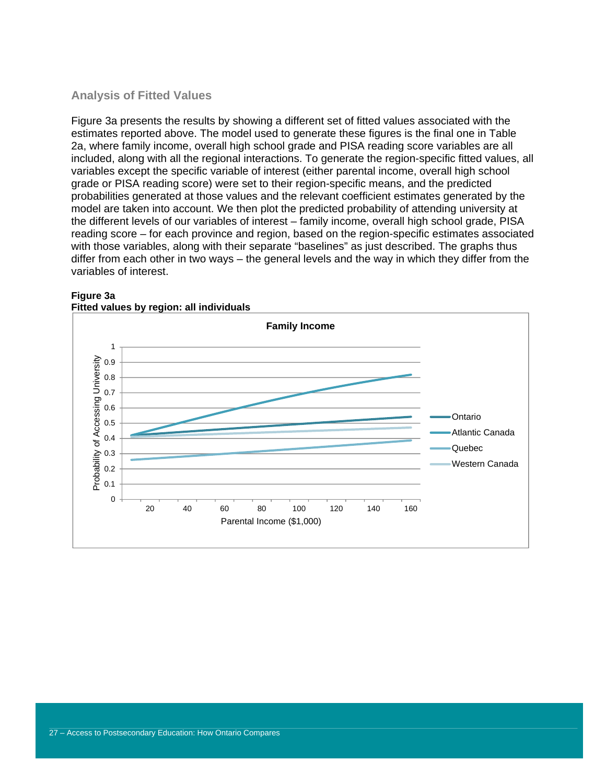### **Analysis of Fitted Values**

Figure 3a presents the results by showing a different set of fitted values associated with the estimates reported above. The model used to generate these figures is the final one in Table 2a, where family income, overall high school grade and PISA reading score variables are all included, along with all the regional interactions. To generate the region-specific fitted values, all variables except the specific variable of interest (either parental income, overall high school grade or PISA reading score) were set to their region-specific means, and the predicted probabilities generated at those values and the relevant coefficient estimates generated by the model are taken into account. We then plot the predicted probability of attending university at the different levels of our variables of interest – family income, overall high school grade, PISA reading score – for each province and region, based on the region-specific estimates associated with those variables, along with their separate "baselines" as just described. The graphs thus differ from each other in two ways – the general levels and the way in which they differ from the variables of interest.



**Figure 3a Fitted values by region: all individuals**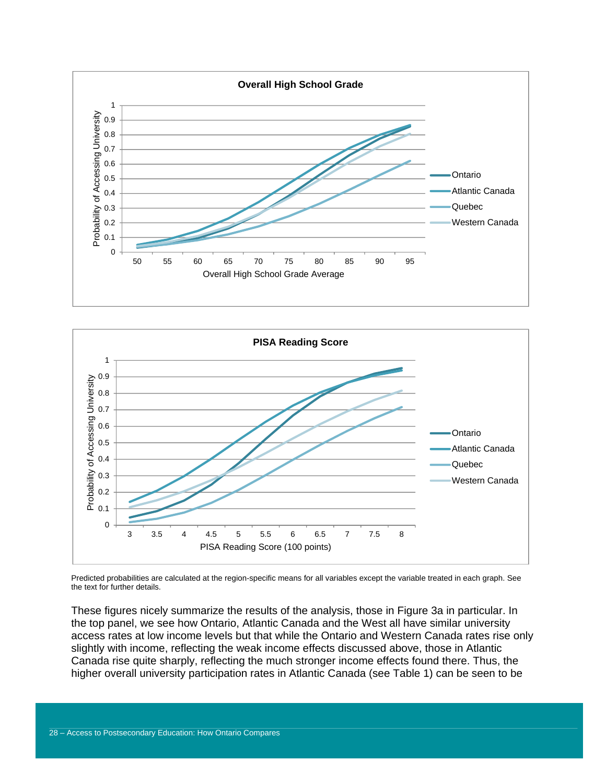



Predicted probabilities are calculated at the region-specific means for all variables except the variable treated in each graph. See the text for further details.

These figures nicely summarize the results of the analysis, those in Figure 3a in particular. In the top panel, we see how Ontario, Atlantic Canada and the West all have similar university access rates at low income levels but that while the Ontario and Western Canada rates rise only slightly with income, reflecting the weak income effects discussed above, those in Atlantic Canada rise quite sharply, reflecting the much stronger income effects found there. Thus, the higher overall university participation rates in Atlantic Canada (see Table 1) can be seen to be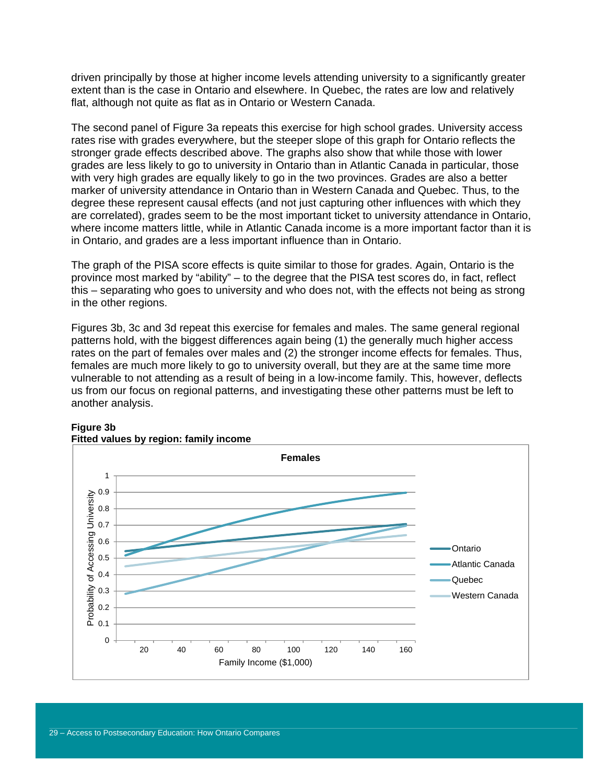driven principally by those at higher income levels attending university to a significantly greater extent than is the case in Ontario and elsewhere. In Quebec, the rates are low and relatively flat, although not quite as flat as in Ontario or Western Canada.

The second panel of Figure 3a repeats this exercise for high school grades. University access rates rise with grades everywhere, but the steeper slope of this graph for Ontario reflects the stronger grade effects described above. The graphs also show that while those with lower grades are less likely to go to university in Ontario than in Atlantic Canada in particular, those with very high grades are equally likely to go in the two provinces. Grades are also a better marker of university attendance in Ontario than in Western Canada and Quebec. Thus, to the degree these represent causal effects (and not just capturing other influences with which they are correlated), grades seem to be the most important ticket to university attendance in Ontario, where income matters little, while in Atlantic Canada income is a more important factor than it is in Ontario, and grades are a less important influence than in Ontario.

The graph of the PISA score effects is quite similar to those for grades. Again, Ontario is the province most marked by "ability" – to the degree that the PISA test scores do, in fact, reflect this – separating who goes to university and who does not, with the effects not being as strong in the other regions.

Figures 3b, 3c and 3d repeat this exercise for females and males. The same general regional patterns hold, with the biggest differences again being (1) the generally much higher access rates on the part of females over males and (2) the stronger income effects for females. Thus, females are much more likely to go to university overall, but they are at the same time more vulnerable to not attending as a result of being in a low-income family. This, however, deflects us from our focus on regional patterns, and investigating these other patterns must be left to another analysis.



#### **Figure 3b Fitted values by region: family income**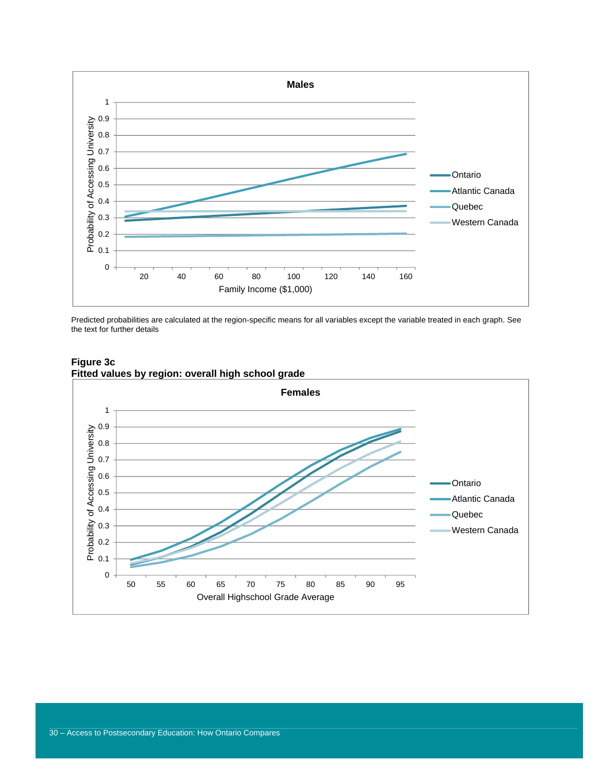

Predicted probabilities are calculated at the region-specific means for all variables except the variable treated in each graph. See the text for further details



### **Figure 3c Fitted values by region: overall high school grade**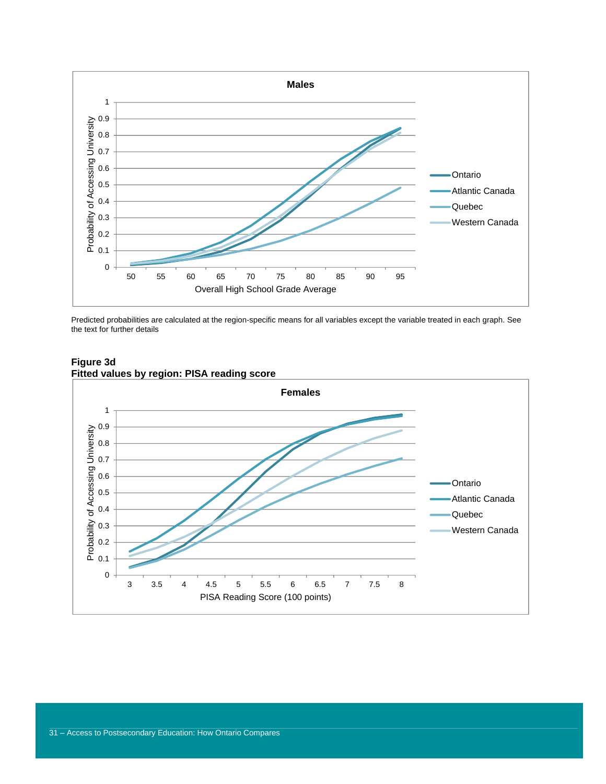

Predicted probabilities are calculated at the region-specific means for all variables except the variable treated in each graph. See the text for further details



### **Figure 3d Fitted values by region: PISA reading score**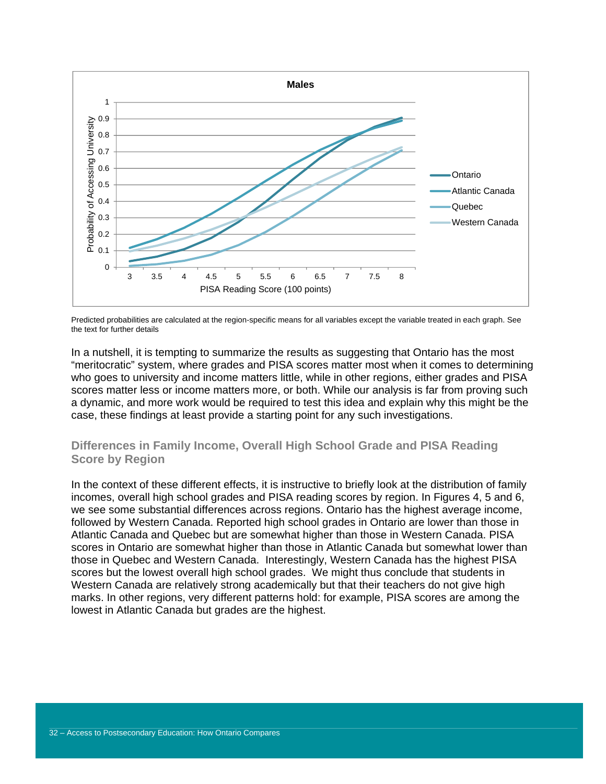

Predicted probabilities are calculated at the region-specific means for all variables except the variable treated in each graph. See the text for further details

In a nutshell, it is tempting to summarize the results as suggesting that Ontario has the most "meritocratic" system, where grades and PISA scores matter most when it comes to determining who goes to university and income matters little, while in other regions, either grades and PISA scores matter less or income matters more, or both. While our analysis is far from proving such a dynamic, and more work would be required to test this idea and explain why this might be the case, these findings at least provide a starting point for any such investigations.

### **Differences in Family Income, Overall High School Grade and PISA Reading Score by Region**

In the context of these different effects, it is instructive to briefly look at the distribution of family incomes, overall high school grades and PISA reading scores by region. In Figures 4, 5 and 6, we see some substantial differences across regions. Ontario has the highest average income, followed by Western Canada. Reported high school grades in Ontario are lower than those in Atlantic Canada and Quebec but are somewhat higher than those in Western Canada. PISA scores in Ontario are somewhat higher than those in Atlantic Canada but somewhat lower than those in Quebec and Western Canada. Interestingly, Western Canada has the highest PISA scores but the lowest overall high school grades. We might thus conclude that students in Western Canada are relatively strong academically but that their teachers do not give high marks. In other regions, very different patterns hold: for example, PISA scores are among the lowest in Atlantic Canada but grades are the highest.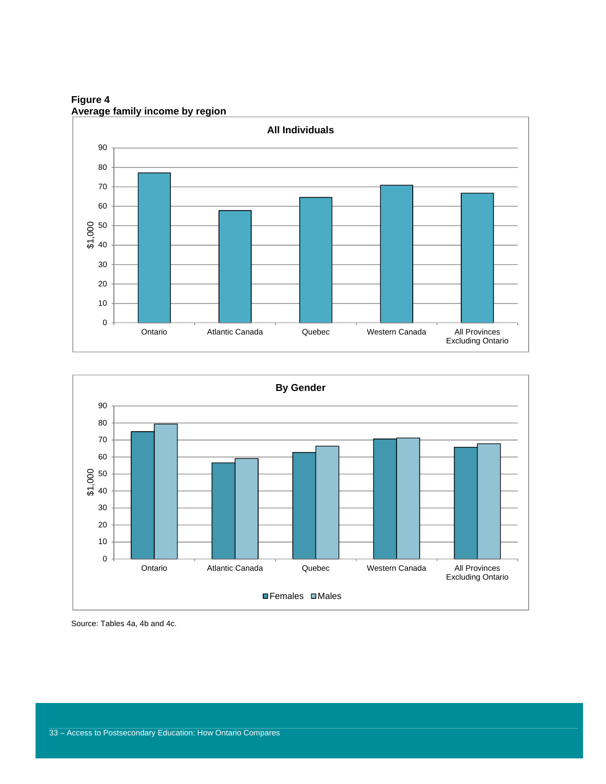

**Figure 4 Average family income by region** 

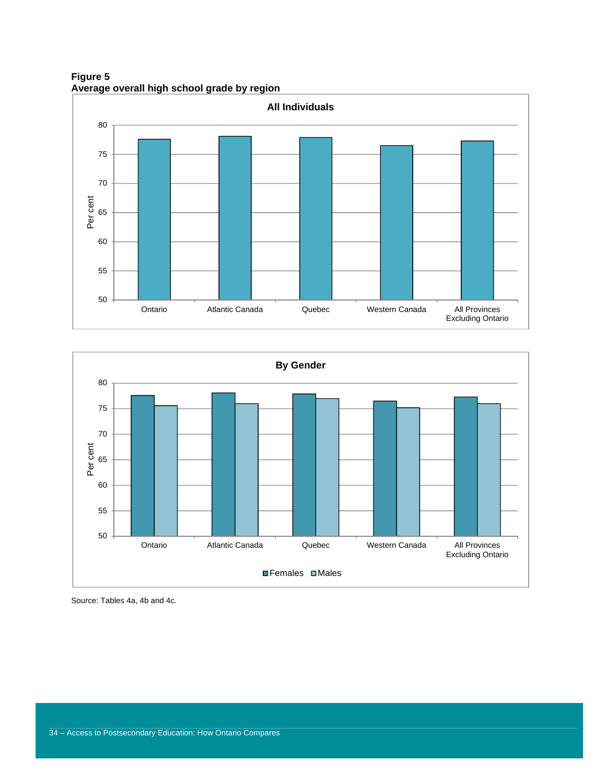**Figure 5 Average overall high school grade by region** 



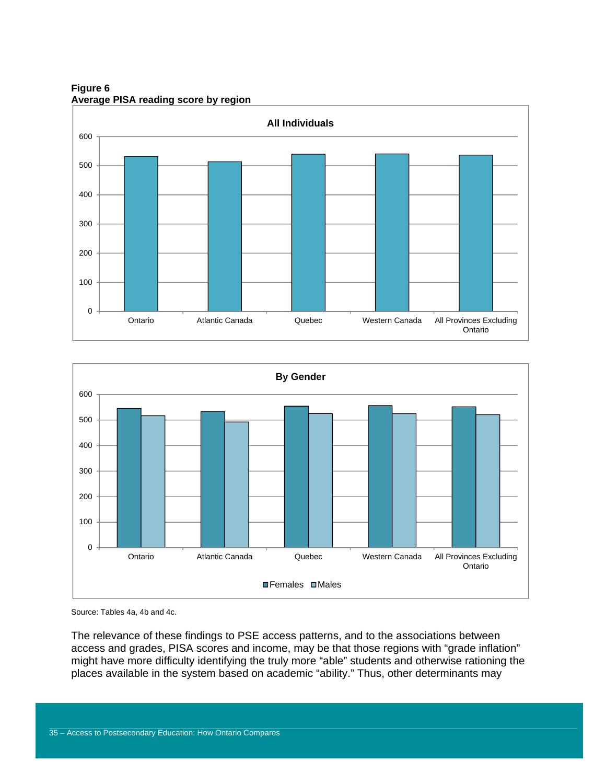**Figure 6 Average PISA reading score by region** 





The relevance of these findings to PSE access patterns, and to the associations between access and grades, PISA scores and income, may be that those regions with "grade inflation" might have more difficulty identifying the truly more "able" students and otherwise rationing the places available in the system based on academic "ability." Thus, other determinants may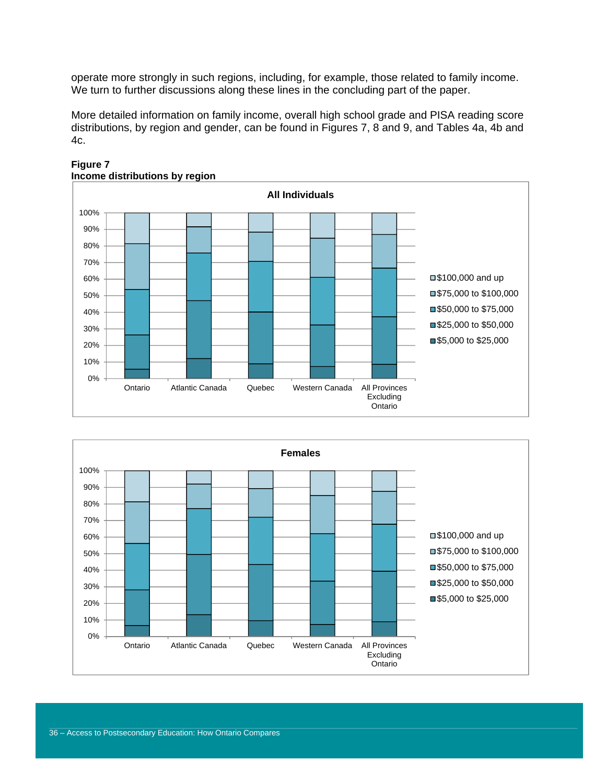operate more strongly in such regions, including, for example, those related to family income. We turn to further discussions along these lines in the concluding part of the paper.

More detailed information on family income, overall high school grade and PISA reading score distributions, by region and gender, can be found in Figures 7, 8 and 9, and Tables 4a, 4b and 4c.



**Figure 7 Income distributions by region** 

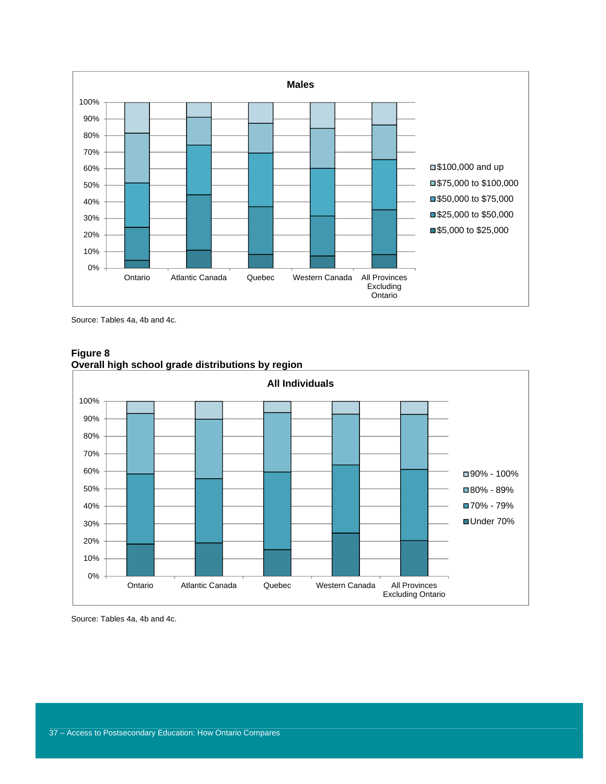

Source: Tables 4a, 4b and 4c.



**Figure 8 Overall high school grade distributions by region**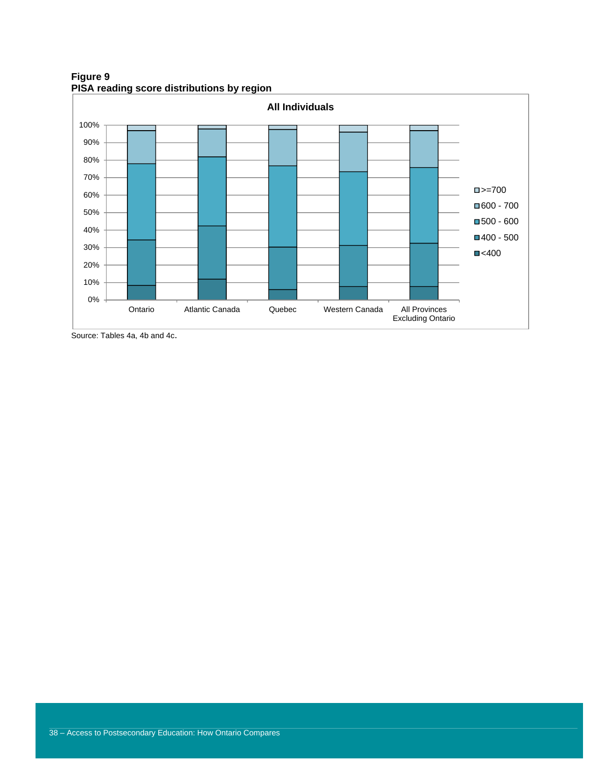**Figure 9 PISA reading score distributions by region** 

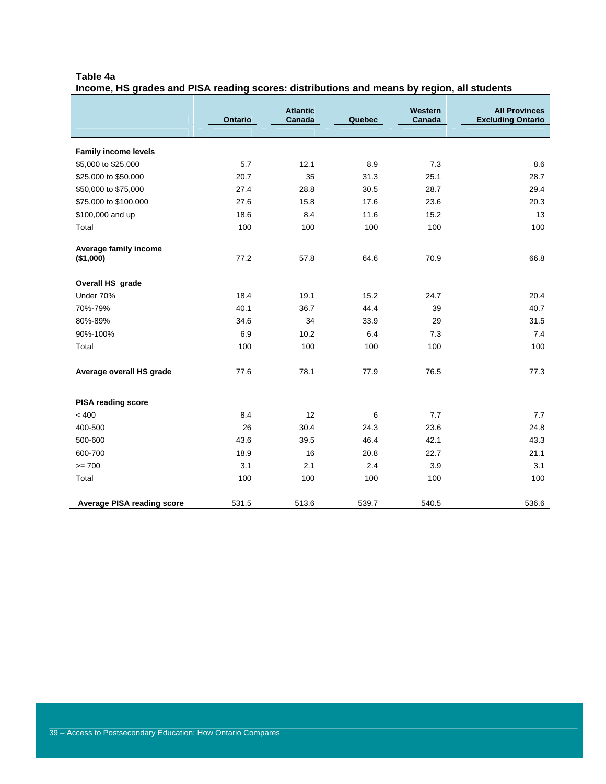### **Table 4a**

**Income, HS grades and PISA reading scores: distributions and means by region, all students** 

|                                   | <b>Ontario</b> | <b>Atlantic</b><br>Canada | Quebec | Western<br>Canada | <b>All Provinces</b><br><b>Excluding Ontario</b> |
|-----------------------------------|----------------|---------------------------|--------|-------------------|--------------------------------------------------|
|                                   |                |                           |        |                   |                                                  |
| <b>Family income levels</b>       |                |                           |        |                   |                                                  |
| \$5,000 to \$25,000               | 5.7            | 12.1                      | 8.9    | 7.3               | 8.6                                              |
| \$25,000 to \$50,000              | 20.7           | 35                        | 31.3   | 25.1              | 28.7                                             |
| \$50,000 to \$75,000              | 27.4           | 28.8                      | 30.5   | 28.7              | 29.4                                             |
| \$75,000 to \$100,000             | 27.6           | 15.8                      | 17.6   | 23.6              | 20.3                                             |
| \$100,000 and up                  | 18.6           | 8.4                       | 11.6   | 15.2              | 13                                               |
| Total                             | 100            | 100                       | 100    | 100               | 100                                              |
| Average family income             |                |                           |        |                   |                                                  |
| (\$1,000)                         | 77.2           | 57.8                      | 64.6   | 70.9              | 66.8                                             |
| Overall HS grade                  |                |                           |        |                   |                                                  |
| Under 70%                         | 18.4           | 19.1                      | 15.2   | 24.7              | 20.4                                             |
| 70%-79%                           | 40.1           | 36.7                      | 44.4   | 39                | 40.7                                             |
| 80%-89%                           | 34.6           | 34                        | 33.9   | 29                | 31.5                                             |
| 90%-100%                          | 6.9            | 10.2                      | 6.4    | 7.3               | 7.4                                              |
| Total                             | 100            | 100                       | 100    | 100               | 100                                              |
| Average overall HS grade          | 77.6           | 78.1                      | 77.9   | 76.5              | 77.3                                             |
| <b>PISA reading score</b>         |                |                           |        |                   |                                                  |
| < 400                             | 8.4            | 12                        | 6      | 7.7               | 7.7                                              |
| 400-500                           | 26             | 30.4                      | 24.3   | 23.6              | 24.8                                             |
| 500-600                           | 43.6           | 39.5                      | 46.4   | 42.1              | 43.3                                             |
| 600-700                           | 18.9           | 16                        | 20.8   | 22.7              | 21.1                                             |
| $>= 700$                          | 3.1            | 2.1                       | 2.4    | 3.9               | 3.1                                              |
| Total                             | 100            | 100                       | 100    | 100               | 100                                              |
| <b>Average PISA reading score</b> | 531.5          | 513.6                     | 539.7  | 540.5             | 536.6                                            |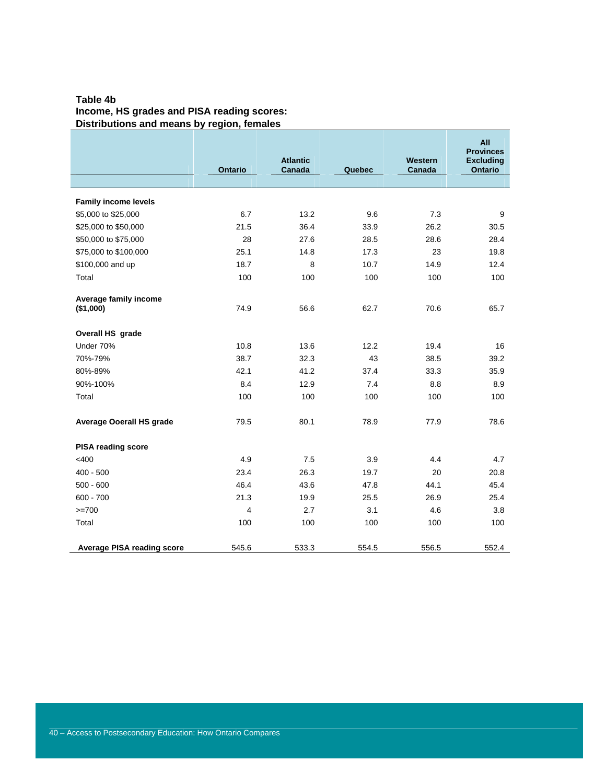### **Table 4b Income, HS grades and PISA reading scores: Distributions and means by region, females**

|                                    | <b>Ontario</b> | <b>Atlantic</b><br>Canada | Quebec | Western<br>Canada | All<br><b>Provinces</b><br><b>Excluding</b><br><b>Ontario</b> |
|------------------------------------|----------------|---------------------------|--------|-------------------|---------------------------------------------------------------|
|                                    |                |                           |        |                   |                                                               |
| <b>Family income levels</b>        |                |                           |        |                   |                                                               |
| \$5,000 to \$25,000                | 6.7            | 13.2                      | 9.6    | 7.3               | 9                                                             |
| \$25,000 to \$50,000               | 21.5           | 36.4                      | 33.9   | 26.2              | 30.5                                                          |
| \$50,000 to \$75,000               | 28             | 27.6                      | 28.5   | 28.6              | 28.4                                                          |
| \$75,000 to \$100,000              | 25.1           | 14.8                      | 17.3   | 23                | 19.8                                                          |
| \$100,000 and up                   | 18.7           | 8                         | 10.7   | 14.9              | 12.4                                                          |
| Total                              | 100            | 100                       | 100    | 100               | 100                                                           |
| Average family income<br>(\$1,000) | 74.9           | 56.6                      | 62.7   | 70.6              | 65.7                                                          |
| Overall HS grade                   |                |                           |        |                   |                                                               |
| Under 70%                          | 10.8           | 13.6                      | 12.2   | 19.4              | 16                                                            |
| 70%-79%                            | 38.7           | 32.3                      | 43     | 38.5              | 39.2                                                          |
| 80%-89%                            | 42.1           | 41.2                      | 37.4   | 33.3              | 35.9                                                          |
| 90%-100%                           | 8.4            | 12.9                      | 7.4    | 8.8               | 8.9                                                           |
| Total                              | 100            | 100                       | 100    | 100               | 100                                                           |
| <b>Average Ooerall HS grade</b>    | 79.5           | 80.1                      | 78.9   | 77.9              | 78.6                                                          |
| <b>PISA reading score</b>          |                |                           |        |                   |                                                               |
| $<$ 400                            | 4.9            | 7.5                       | 3.9    | 4.4               | 4.7                                                           |
| $400 - 500$                        | 23.4           | 26.3                      | 19.7   | 20                | 20.8                                                          |
| $500 - 600$                        | 46.4           | 43.6                      | 47.8   | 44.1              | 45.4                                                          |
| $600 - 700$                        | 21.3           | 19.9                      | 25.5   | 26.9              | 25.4                                                          |
| $>=700$                            | 4              | 2.7                       | 3.1    | 4.6               | 3.8                                                           |
| Total                              | 100            | 100                       | 100    | 100               | 100                                                           |
| <b>Average PISA reading score</b>  | 545.6          | 533.3                     | 554.5  | 556.5             | 552.4                                                         |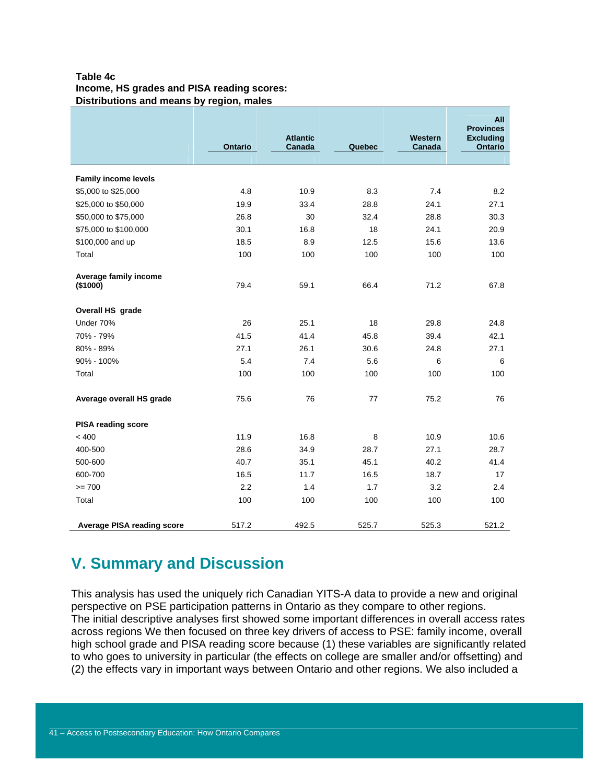### **Table 4c Income, HS grades and PISA reading scores: Distributions and means by region, males**

|                                   | Ontario | <b>Atlantic</b><br>Canada | Quebec | Western<br>Canada | All<br><b>Provinces</b><br><b>Excluding</b><br><b>Ontario</b> |
|-----------------------------------|---------|---------------------------|--------|-------------------|---------------------------------------------------------------|
|                                   |         |                           |        |                   |                                                               |
| <b>Family income levels</b>       |         |                           |        |                   |                                                               |
| \$5,000 to \$25,000               | 4.8     | 10.9                      | 8.3    | 7.4               | 8.2                                                           |
| \$25,000 to \$50,000              | 19.9    | 33.4                      | 28.8   | 24.1              | 27.1                                                          |
| \$50,000 to \$75,000              | 26.8    | 30                        | 32.4   | 28.8              | 30.3                                                          |
| \$75,000 to \$100,000             | 30.1    | 16.8                      | 18     | 24.1              | 20.9                                                          |
| \$100,000 and up                  | 18.5    | 8.9                       | 12.5   | 15.6              | 13.6                                                          |
| Total                             | 100     | 100                       | 100    | 100               | 100                                                           |
| Average family income<br>(\$1000) | 79.4    | 59.1                      | 66.4   | 71.2              | 67.8                                                          |
| Overall HS grade                  |         |                           |        |                   |                                                               |
| Under 70%                         | 26      | 25.1                      | 18     | 29.8              | 24.8                                                          |
| 70% - 79%                         | 41.5    | 41.4                      | 45.8   | 39.4              | 42.1                                                          |
| 80% - 89%                         | 27.1    | 26.1                      | 30.6   | 24.8              | 27.1                                                          |
| 90% - 100%                        | 5.4     | 7.4                       | 5.6    | 6                 | 6                                                             |
| Total                             | 100     | 100                       | 100    | 100               | 100                                                           |
| Average overall HS grade          | 75.6    | 76                        | 77     | 75.2              | 76                                                            |
| <b>PISA reading score</b>         |         |                           |        |                   |                                                               |
| < 400                             | 11.9    | 16.8                      | 8      | 10.9              | 10.6                                                          |
| 400-500                           | 28.6    | 34.9                      | 28.7   | 27.1              | 28.7                                                          |
| 500-600                           | 40.7    | 35.1                      | 45.1   | 40.2              | 41.4                                                          |
| 600-700                           | 16.5    | 11.7                      | 16.5   | 18.7              | 17                                                            |
| $>= 700$                          | 2.2     | 1.4                       | 1.7    | 3.2               | 2.4                                                           |
| Total                             | 100     | 100                       | 100    | 100               | 100                                                           |
| <b>Average PISA reading score</b> | 517.2   | 492.5                     | 525.7  | 525.3             | 521.2                                                         |

## **V. Summary and Discussion**

This analysis has used the uniquely rich Canadian YITS-A data to provide a new and original perspective on PSE participation patterns in Ontario as they compare to other regions. The initial descriptive analyses first showed some important differences in overall access rates across regions We then focused on three key drivers of access to PSE: family income, overall high school grade and PISA reading score because (1) these variables are significantly related to who goes to university in particular (the effects on college are smaller and/or offsetting) and (2) the effects vary in important ways between Ontario and other regions. We also included a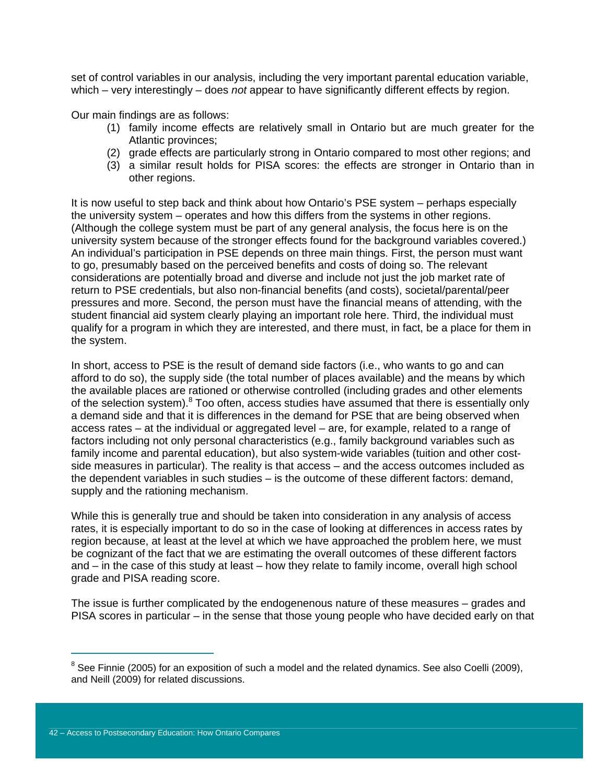set of control variables in our analysis, including the very important parental education variable, which – very interestingly – does *not* appear to have significantly different effects by region.

Our main findings are as follows:

- (1) family income effects are relatively small in Ontario but are much greater for the Atlantic provinces;
- (2) grade effects are particularly strong in Ontario compared to most other regions; and
- (3) a similar result holds for PISA scores: the effects are stronger in Ontario than in other regions.

It is now useful to step back and think about how Ontario's PSE system – perhaps especially the university system – operates and how this differs from the systems in other regions. (Although the college system must be part of any general analysis, the focus here is on the university system because of the stronger effects found for the background variables covered.) An individual's participation in PSE depends on three main things. First, the person must want to go, presumably based on the perceived benefits and costs of doing so. The relevant considerations are potentially broad and diverse and include not just the job market rate of return to PSE credentials, but also non-financial benefits (and costs), societal/parental/peer pressures and more. Second, the person must have the financial means of attending, with the student financial aid system clearly playing an important role here. Third, the individual must qualify for a program in which they are interested, and there must, in fact, be a place for them in the system.

In short, access to PSE is the result of demand side factors (i.e., who wants to go and can afford to do so), the supply side (the total number of places available) and the means by which the available places are rationed or otherwise controlled (including grades and other elements of the selection system).<sup>8</sup> Too often, access studies have assumed that there is essentially only a demand side and that it is differences in the demand for PSE that are being observed when access rates – at the individual or aggregated level – are, for example, related to a range of factors including not only personal characteristics (e.g., family background variables such as family income and parental education), but also system-wide variables (tuition and other costside measures in particular). The reality is that access – and the access outcomes included as the dependent variables in such studies – is the outcome of these different factors: demand, supply and the rationing mechanism.

While this is generally true and should be taken into consideration in any analysis of access rates, it is especially important to do so in the case of looking at differences in access rates by region because, at least at the level at which we have approached the problem here, we must be cognizant of the fact that we are estimating the overall outcomes of these different factors and – in the case of this study at least – how they relate to family income, overall high school grade and PISA reading score.

The issue is further complicated by the endogenenous nature of these measures – grades and PISA scores in particular – in the sense that those young people who have decided early on that

 $^8$  See Finnie (2005) for an exposition of such a model and the related dynamics. See also Coelli (2009), and Neill (2009) for related discussions.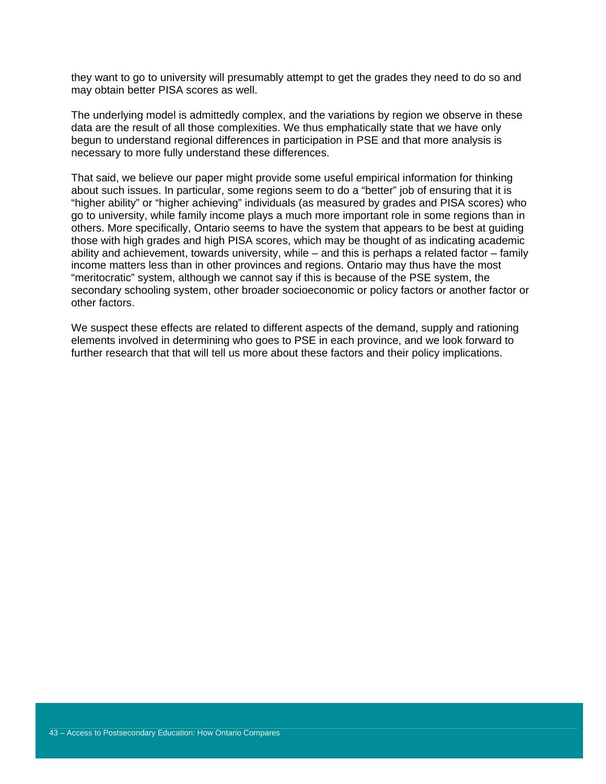they want to go to university will presumably attempt to get the grades they need to do so and may obtain better PISA scores as well.

The underlying model is admittedly complex, and the variations by region we observe in these data are the result of all those complexities. We thus emphatically state that we have only begun to understand regional differences in participation in PSE and that more analysis is necessary to more fully understand these differences.

That said, we believe our paper might provide some useful empirical information for thinking about such issues. In particular, some regions seem to do a "better" job of ensuring that it is "higher ability" or "higher achieving" individuals (as measured by grades and PISA scores) who go to university, while family income plays a much more important role in some regions than in others. More specifically, Ontario seems to have the system that appears to be best at guiding those with high grades and high PISA scores, which may be thought of as indicating academic ability and achievement, towards university, while – and this is perhaps a related factor – family income matters less than in other provinces and regions. Ontario may thus have the most "meritocratic" system, although we cannot say if this is because of the PSE system, the secondary schooling system, other broader socioeconomic or policy factors or another factor or other factors.

We suspect these effects are related to different aspects of the demand, supply and rationing elements involved in determining who goes to PSE in each province, and we look forward to further research that that will tell us more about these factors and their policy implications.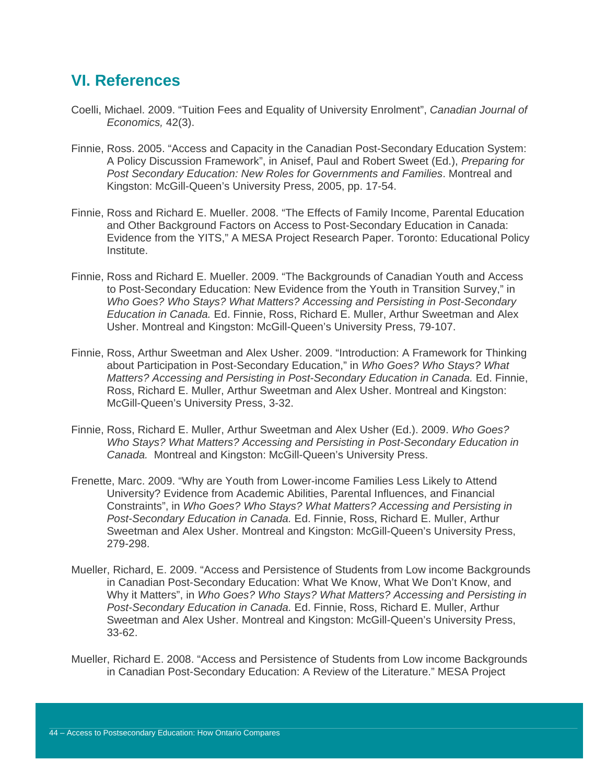## **VI. References**

- Coelli, Michael. 2009. "Tuition Fees and Equality of University Enrolment", *Canadian Journal of Economics,* 42(3).
- Finnie, Ross. 2005. "Access and Capacity in the Canadian Post-Secondary Education System: A Policy Discussion Framework", in Anisef, Paul and Robert Sweet (Ed.), *Preparing for Post Secondary Education: New Roles for Governments and Families*. Montreal and Kingston: McGill-Queen's University Press, 2005, pp. 17-54.
- Finnie, Ross and Richard E. Mueller. 2008. "The Effects of Family Income, Parental Education and Other Background Factors on Access to Post-Secondary Education in Canada: Evidence from the YITS," A MESA Project Research Paper. Toronto: Educational Policy Institute.
- Finnie, Ross and Richard E. Mueller. 2009. "The Backgrounds of Canadian Youth and Access to Post-Secondary Education: New Evidence from the Youth in Transition Survey," in *Who Goes? Who Stays? What Matters? Accessing and Persisting in Post-Secondary Education in Canada.* Ed. Finnie, Ross, Richard E. Muller, Arthur Sweetman and Alex Usher. Montreal and Kingston: McGill-Queen's University Press, 79-107.
- Finnie, Ross, Arthur Sweetman and Alex Usher. 2009. "Introduction: A Framework for Thinking about Participation in Post-Secondary Education," in *Who Goes? Who Stays? What Matters? Accessing and Persisting in Post-Secondary Education in Canada.* Ed. Finnie, Ross, Richard E. Muller, Arthur Sweetman and Alex Usher. Montreal and Kingston: McGill-Queen's University Press, 3-32.
- Finnie, Ross, Richard E. Muller, Arthur Sweetman and Alex Usher (Ed.). 2009. *Who Goes? Who Stays? What Matters? Accessing and Persisting in Post-Secondary Education in Canada.* Montreal and Kingston: McGill-Queen's University Press.
- Frenette, Marc. 2009. "Why are Youth from Lower-income Families Less Likely to Attend University? Evidence from Academic Abilities, Parental Influences, and Financial Constraints", in *Who Goes? Who Stays? What Matters? Accessing and Persisting in Post-Secondary Education in Canada.* Ed. Finnie, Ross, Richard E. Muller, Arthur Sweetman and Alex Usher. Montreal and Kingston: McGill-Queen's University Press, 279-298.
- Mueller, Richard, E. 2009. "Access and Persistence of Students from Low income Backgrounds in Canadian Post-Secondary Education: What We Know, What We Don't Know, and Why it Matters", in *Who Goes? Who Stays? What Matters? Accessing and Persisting in Post-Secondary Education in Canada.* Ed. Finnie, Ross, Richard E. Muller, Arthur Sweetman and Alex Usher. Montreal and Kingston: McGill-Queen's University Press, 33-62.
- Mueller, Richard E. 2008. "Access and Persistence of Students from Low income Backgrounds in Canadian Post-Secondary Education: A Review of the Literature." MESA Project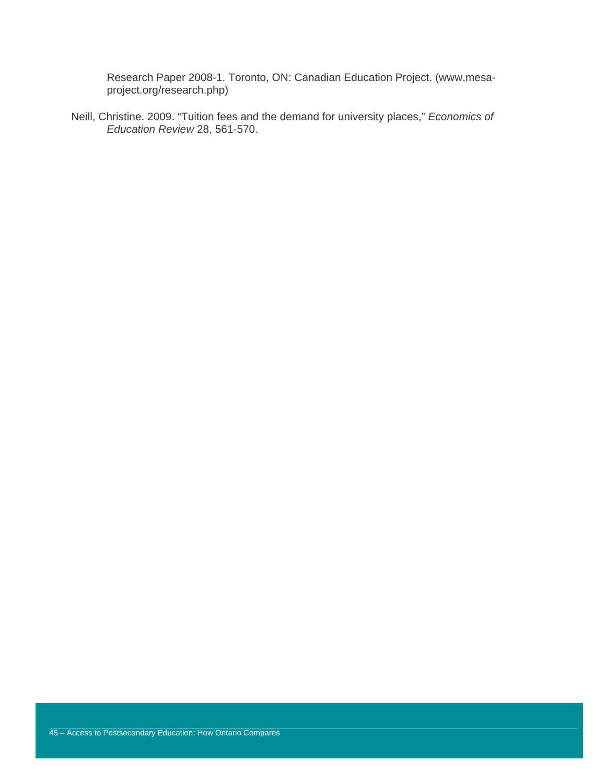Research Paper 2008-1. Toronto, ON: Canadian Education Project. (www.mesaproject.org/research.php)

Neill, Christine. 2009. "Tuition fees and the demand for university places," *Economics of Education Review* 28, 561-570.